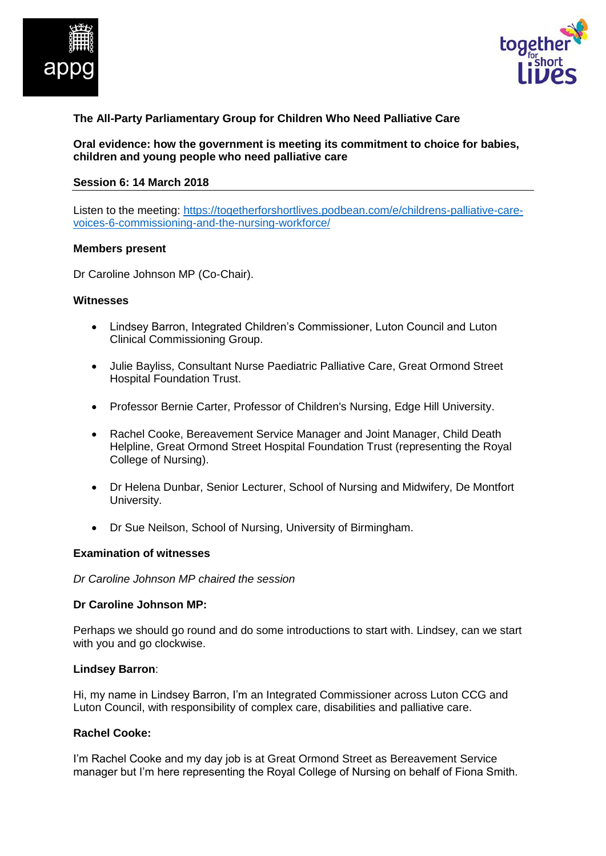



# **The All-Party Parliamentary Group for Children Who Need Palliative Care**

**Oral evidence: how the government is meeting its commitment to choice for babies, children and young people who need palliative care**

#### **Session 6: 14 March 2018**

Listen to the meeting: [https://togetherforshortlives.podbean.com/e/childrens-palliative-care](https://togetherforshortlives.podbean.com/e/childrens-palliative-care-voices-6-commissioning-and-the-nursing-workforce/)[voices-6-commissioning-and-the-nursing-workforce/](https://togetherforshortlives.podbean.com/e/childrens-palliative-care-voices-6-commissioning-and-the-nursing-workforce/)

#### **Members present**

Dr Caroline Johnson MP (Co-Chair).

#### **Witnesses**

- Lindsey Barron, Integrated Children's Commissioner, Luton Council and Luton Clinical Commissioning Group.
- Julie Bayliss, Consultant Nurse Paediatric Palliative Care, Great Ormond Street Hospital Foundation Trust.
- Professor Bernie Carter, Professor of Children's Nursing, Edge Hill University.
- Rachel Cooke, Bereavement Service Manager and Joint Manager, Child Death Helpline, Great Ormond Street Hospital Foundation Trust (representing the Royal College of Nursing).
- Dr Helena Dunbar, Senior Lecturer, School of Nursing and Midwifery, De Montfort University.
- Dr Sue Neilson, School of Nursing, University of Birmingham.

#### **Examination of witnesses**

*Dr Caroline Johnson MP chaired the session*

#### **Dr Caroline Johnson MP:**

Perhaps we should go round and do some introductions to start with. Lindsey, can we start with you and go clockwise.

#### **Lindsey Barron**:

Hi, my name in Lindsey Barron, I'm an Integrated Commissioner across Luton CCG and Luton Council, with responsibility of complex care, disabilities and palliative care.

#### **Rachel Cooke:**

I'm Rachel Cooke and my day job is at Great Ormond Street as Bereavement Service manager but I'm here representing the Royal College of Nursing on behalf of Fiona Smith.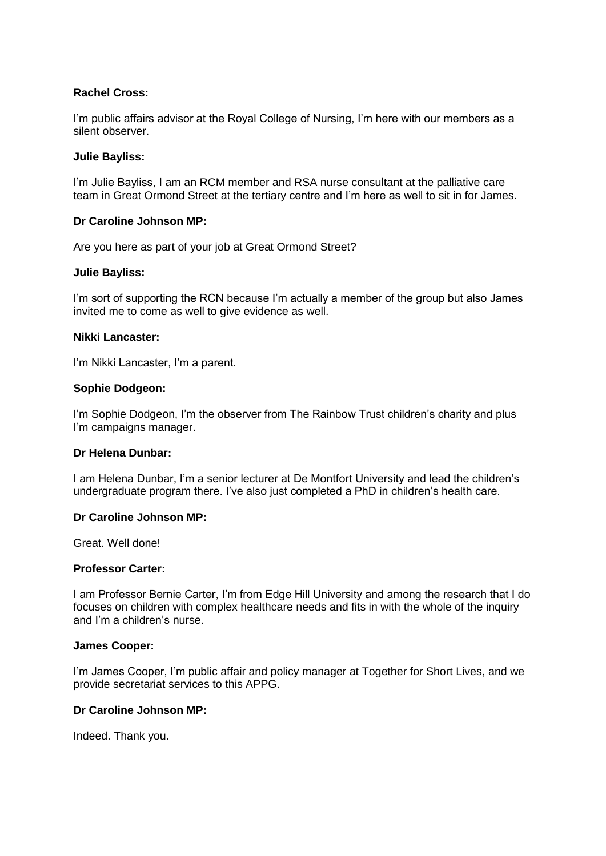## **Rachel Cross:**

I'm public affairs advisor at the Royal College of Nursing, I'm here with our members as a silent observer.

#### **Julie Bayliss:**

I'm Julie Bayliss, I am an RCM member and RSA nurse consultant at the palliative care team in Great Ormond Street at the tertiary centre and I'm here as well to sit in for James.

### **Dr Caroline Johnson MP:**

Are you here as part of your job at Great Ormond Street?

#### **Julie Bayliss:**

I'm sort of supporting the RCN because I'm actually a member of the group but also James invited me to come as well to give evidence as well.

#### **Nikki Lancaster:**

I'm Nikki Lancaster, I'm a parent.

#### **Sophie Dodgeon:**

I'm Sophie Dodgeon, I'm the observer from The Rainbow Trust children's charity and plus I'm campaigns manager.

## **Dr Helena Dunbar:**

I am Helena Dunbar, I'm a senior lecturer at De Montfort University and lead the children's undergraduate program there. I've also just completed a PhD in children's health care.

### **Dr Caroline Johnson MP:**

Great. Well done!

#### **Professor Carter:**

I am Professor Bernie Carter, I'm from Edge Hill University and among the research that I do focuses on children with complex healthcare needs and fits in with the whole of the inquiry and I'm a children's nurse.

#### **James Cooper:**

I'm James Cooper, I'm public affair and policy manager at Together for Short Lives, and we provide secretariat services to this APPG.

#### **Dr Caroline Johnson MP:**

Indeed. Thank you.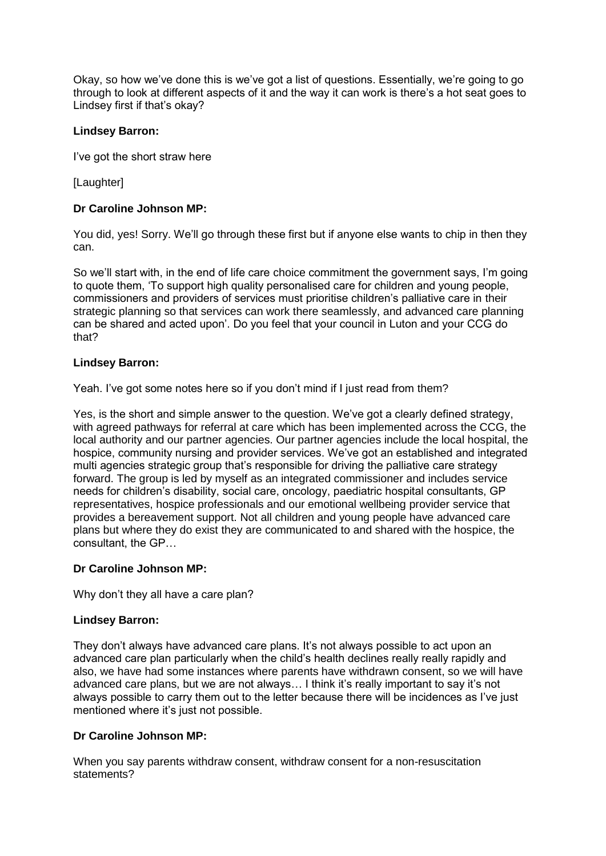Okay, so how we've done this is we've got a list of questions. Essentially, we're going to go through to look at different aspects of it and the way it can work is there's a hot seat goes to Lindsey first if that's okay?

# **Lindsey Barron:**

I've got the short straw here

[Laughter]

# **Dr Caroline Johnson MP:**

You did, yes! Sorry. We'll go through these first but if anyone else wants to chip in then they can.

So we'll start with, in the end of life care choice commitment the government says, I'm going to quote them, 'To support high quality personalised care for children and young people, commissioners and providers of services must prioritise children's palliative care in their strategic planning so that services can work there seamlessly, and advanced care planning can be shared and acted upon'. Do you feel that your council in Luton and your CCG do that?

## **Lindsey Barron:**

Yeah. I've got some notes here so if you don't mind if I just read from them?

Yes, is the short and simple answer to the question. We've got a clearly defined strategy, with agreed pathways for referral at care which has been implemented across the CCG, the local authority and our partner agencies. Our partner agencies include the local hospital, the hospice, community nursing and provider services. We've got an established and integrated multi agencies strategic group that's responsible for driving the palliative care strategy forward. The group is led by myself as an integrated commissioner and includes service needs for children's disability, social care, oncology, paediatric hospital consultants, GP representatives, hospice professionals and our emotional wellbeing provider service that provides a bereavement support. Not all children and young people have advanced care plans but where they do exist they are communicated to and shared with the hospice, the consultant, the GP…

## **Dr Caroline Johnson MP:**

Why don't they all have a care plan?

## **Lindsey Barron:**

They don't always have advanced care plans. It's not always possible to act upon an advanced care plan particularly when the child's health declines really really rapidly and also, we have had some instances where parents have withdrawn consent, so we will have advanced care plans, but we are not always… I think it's really important to say it's not always possible to carry them out to the letter because there will be incidences as I've just mentioned where it's just not possible.

# **Dr Caroline Johnson MP:**

When you say parents withdraw consent, withdraw consent for a non-resuscitation statements?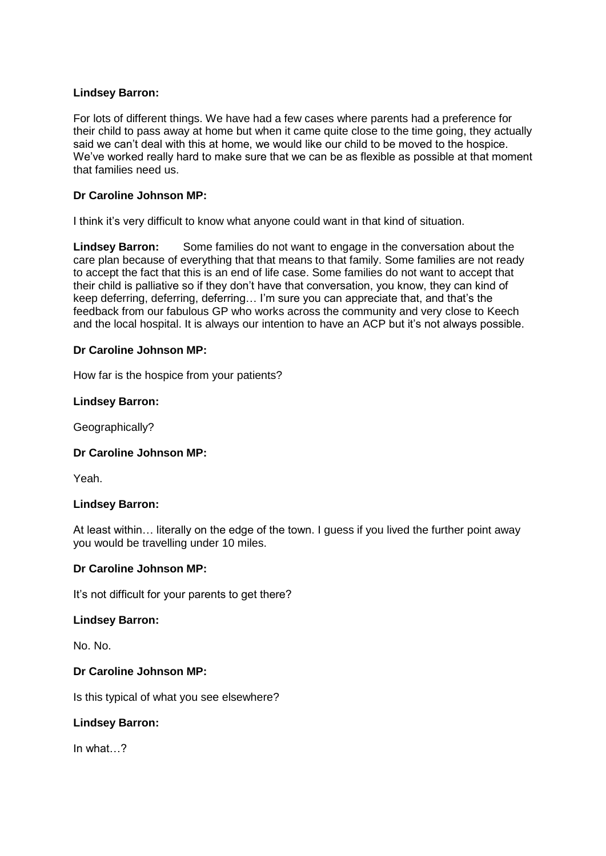# **Lindsey Barron:**

For lots of different things. We have had a few cases where parents had a preference for their child to pass away at home but when it came quite close to the time going, they actually said we can't deal with this at home, we would like our child to be moved to the hospice. We've worked really hard to make sure that we can be as flexible as possible at that moment that families need us.

# **Dr Caroline Johnson MP:**

I think it's very difficult to know what anyone could want in that kind of situation.

**Lindsey Barron:** Some families do not want to engage in the conversation about the care plan because of everything that that means to that family. Some families are not ready to accept the fact that this is an end of life case. Some families do not want to accept that their child is palliative so if they don't have that conversation, you know, they can kind of keep deferring, deferring, deferring… I'm sure you can appreciate that, and that's the feedback from our fabulous GP who works across the community and very close to Keech and the local hospital. It is always our intention to have an ACP but it's not always possible.

## **Dr Caroline Johnson MP:**

How far is the hospice from your patients?

### **Lindsey Barron:**

Geographically?

## **Dr Caroline Johnson MP:**

Yeah.

## **Lindsey Barron:**

At least within… literally on the edge of the town. I guess if you lived the further point away you would be travelling under 10 miles.

## **Dr Caroline Johnson MP:**

It's not difficult for your parents to get there?

#### **Lindsey Barron:**

No. No.

## **Dr Caroline Johnson MP:**

Is this typical of what you see elsewhere?

## **Lindsey Barron:**

In what…?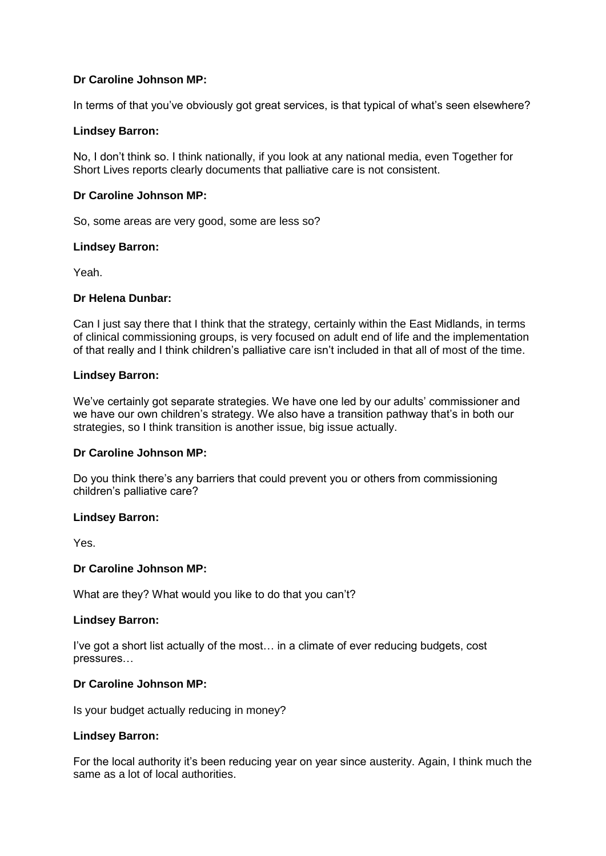In terms of that you've obviously got great services, is that typical of what's seen elsewhere?

### **Lindsey Barron:**

No, I don't think so. I think nationally, if you look at any national media, even Together for Short Lives reports clearly documents that palliative care is not consistent.

### **Dr Caroline Johnson MP:**

So, some areas are very good, some are less so?

#### **Lindsey Barron:**

Yeah.

### **Dr Helena Dunbar:**

Can I just say there that I think that the strategy, certainly within the East Midlands, in terms of clinical commissioning groups, is very focused on adult end of life and the implementation of that really and I think children's palliative care isn't included in that all of most of the time.

### **Lindsey Barron:**

We've certainly got separate strategies. We have one led by our adults' commissioner and we have our own children's strategy. We also have a transition pathway that's in both our strategies, so I think transition is another issue, big issue actually.

## **Dr Caroline Johnson MP:**

Do you think there's any barriers that could prevent you or others from commissioning children's palliative care?

#### **Lindsey Barron:**

Yes.

#### **Dr Caroline Johnson MP:**

What are they? What would you like to do that you can't?

#### **Lindsey Barron:**

I've got a short list actually of the most… in a climate of ever reducing budgets, cost pressures…

#### **Dr Caroline Johnson MP:**

Is your budget actually reducing in money?

### **Lindsey Barron:**

For the local authority it's been reducing year on year since austerity. Again, I think much the same as a lot of local authorities.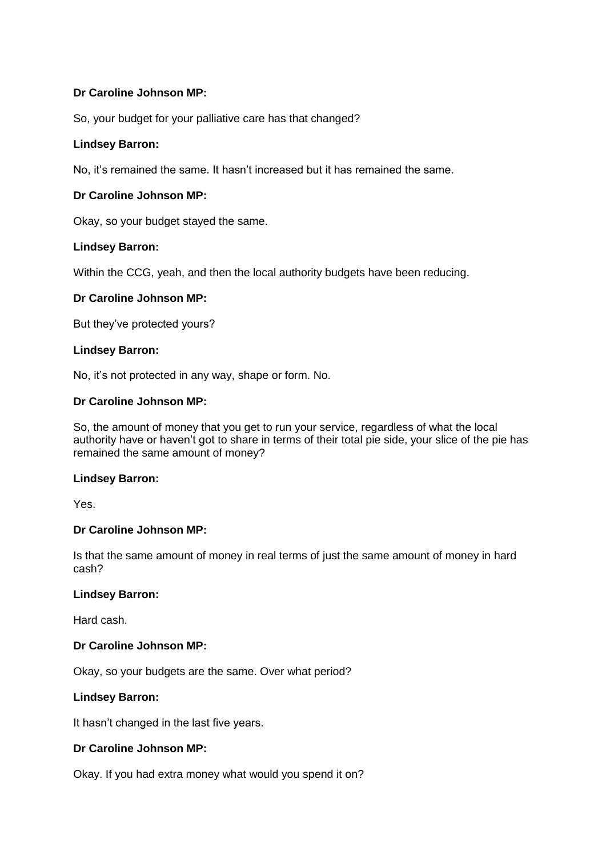So, your budget for your palliative care has that changed?

## **Lindsey Barron:**

No, it's remained the same. It hasn't increased but it has remained the same.

# **Dr Caroline Johnson MP:**

Okay, so your budget stayed the same.

### **Lindsey Barron:**

Within the CCG, yeah, and then the local authority budgets have been reducing.

### **Dr Caroline Johnson MP:**

But they've protected yours?

### **Lindsey Barron:**

No, it's not protected in any way, shape or form. No.

### **Dr Caroline Johnson MP:**

So, the amount of money that you get to run your service, regardless of what the local authority have or haven't got to share in terms of their total pie side, your slice of the pie has remained the same amount of money?

#### **Lindsey Barron:**

Yes.

## **Dr Caroline Johnson MP:**

Is that the same amount of money in real terms of just the same amount of money in hard cash?

### **Lindsey Barron:**

Hard cash.

### **Dr Caroline Johnson MP:**

Okay, so your budgets are the same. Over what period?

#### **Lindsey Barron:**

It hasn't changed in the last five years.

#### **Dr Caroline Johnson MP:**

Okay. If you had extra money what would you spend it on?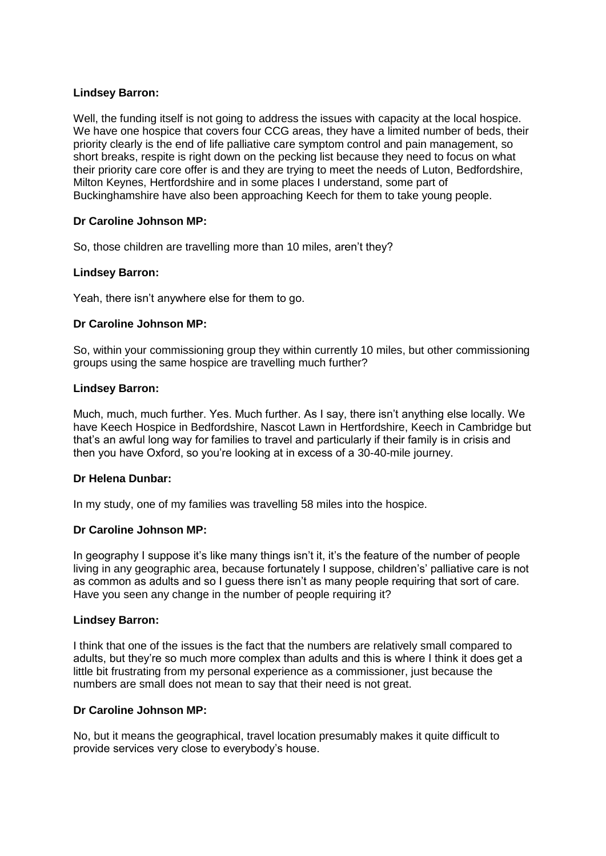# **Lindsey Barron:**

Well, the funding itself is not going to address the issues with capacity at the local hospice. We have one hospice that covers four CCG areas, they have a limited number of beds, their priority clearly is the end of life palliative care symptom control and pain management, so short breaks, respite is right down on the pecking list because they need to focus on what their priority care core offer is and they are trying to meet the needs of Luton, Bedfordshire, Milton Keynes, Hertfordshire and in some places I understand, some part of Buckinghamshire have also been approaching Keech for them to take young people.

# **Dr Caroline Johnson MP:**

So, those children are travelling more than 10 miles, aren't they?

### **Lindsey Barron:**

Yeah, there isn't anywhere else for them to go.

## **Dr Caroline Johnson MP:**

So, within your commissioning group they within currently 10 miles, but other commissioning groups using the same hospice are travelling much further?

### **Lindsey Barron:**

Much, much, much further. Yes. Much further. As I say, there isn't anything else locally. We have Keech Hospice in Bedfordshire, Nascot Lawn in Hertfordshire, Keech in Cambridge but that's an awful long way for families to travel and particularly if their family is in crisis and then you have Oxford, so you're looking at in excess of a 30-40-mile journey.

## **Dr Helena Dunbar:**

In my study, one of my families was travelling 58 miles into the hospice.

## **Dr Caroline Johnson MP:**

In geography I suppose it's like many things isn't it, it's the feature of the number of people living in any geographic area, because fortunately I suppose, children's' palliative care is not as common as adults and so I guess there isn't as many people requiring that sort of care. Have you seen any change in the number of people requiring it?

#### **Lindsey Barron:**

I think that one of the issues is the fact that the numbers are relatively small compared to adults, but they're so much more complex than adults and this is where I think it does get a little bit frustrating from my personal experience as a commissioner, just because the numbers are small does not mean to say that their need is not great.

## **Dr Caroline Johnson MP:**

No, but it means the geographical, travel location presumably makes it quite difficult to provide services very close to everybody's house.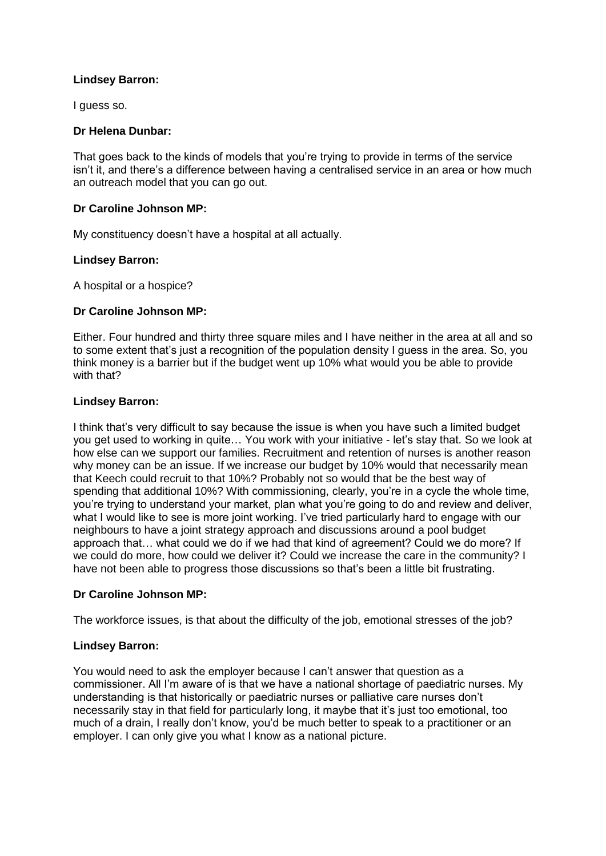## **Lindsey Barron:**

I guess so.

## **Dr Helena Dunbar:**

That goes back to the kinds of models that you're trying to provide in terms of the service isn't it, and there's a difference between having a centralised service in an area or how much an outreach model that you can go out.

## **Dr Caroline Johnson MP:**

My constituency doesn't have a hospital at all actually.

### **Lindsey Barron:**

A hospital or a hospice?

### **Dr Caroline Johnson MP:**

Either. Four hundred and thirty three square miles and I have neither in the area at all and so to some extent that's just a recognition of the population density I guess in the area. So, you think money is a barrier but if the budget went up 10% what would you be able to provide with that?

### **Lindsey Barron:**

I think that's very difficult to say because the issue is when you have such a limited budget you get used to working in quite… You work with your initiative - let's stay that. So we look at how else can we support our families. Recruitment and retention of nurses is another reason why money can be an issue. If we increase our budget by 10% would that necessarily mean that Keech could recruit to that 10%? Probably not so would that be the best way of spending that additional 10%? With commissioning, clearly, you're in a cycle the whole time, you're trying to understand your market, plan what you're going to do and review and deliver, what I would like to see is more joint working. I've tried particularly hard to engage with our neighbours to have a joint strategy approach and discussions around a pool budget approach that… what could we do if we had that kind of agreement? Could we do more? If we could do more, how could we deliver it? Could we increase the care in the community? I have not been able to progress those discussions so that's been a little bit frustrating.

## **Dr Caroline Johnson MP:**

The workforce issues, is that about the difficulty of the job, emotional stresses of the job?

## **Lindsey Barron:**

You would need to ask the employer because I can't answer that question as a commissioner. All I'm aware of is that we have a national shortage of paediatric nurses. My understanding is that historically or paediatric nurses or palliative care nurses don't necessarily stay in that field for particularly long, it maybe that it's just too emotional, too much of a drain, I really don't know, you'd be much better to speak to a practitioner or an employer. I can only give you what I know as a national picture.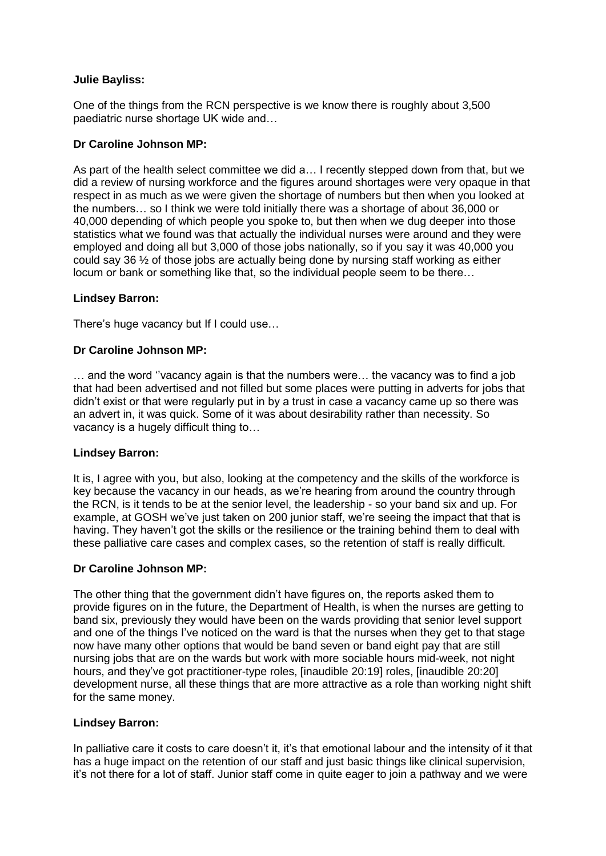## **Julie Bayliss:**

One of the things from the RCN perspective is we know there is roughly about 3,500 paediatric nurse shortage UK wide and…

## **Dr Caroline Johnson MP:**

As part of the health select committee we did a… I recently stepped down from that, but we did a review of nursing workforce and the figures around shortages were very opaque in that respect in as much as we were given the shortage of numbers but then when you looked at the numbers… so I think we were told initially there was a shortage of about 36,000 or 40,000 depending of which people you spoke to, but then when we dug deeper into those statistics what we found was that actually the individual nurses were around and they were employed and doing all but 3,000 of those jobs nationally, so if you say it was 40,000 you could say 36  $\frac{1}{2}$  of those jobs are actually being done by nursing staff working as either locum or bank or something like that, so the individual people seem to be there…

### **Lindsey Barron:**

There's huge vacancy but If I could use…

### **Dr Caroline Johnson MP:**

… and the word ''vacancy again is that the numbers were… the vacancy was to find a job that had been advertised and not filled but some places were putting in adverts for jobs that didn't exist or that were regularly put in by a trust in case a vacancy came up so there was an advert in, it was quick. Some of it was about desirability rather than necessity. So vacancy is a hugely difficult thing to…

#### **Lindsey Barron:**

It is, I agree with you, but also, looking at the competency and the skills of the workforce is key because the vacancy in our heads, as we're hearing from around the country through the RCN, is it tends to be at the senior level, the leadership - so your band six and up. For example, at GOSH we've just taken on 200 junior staff, we're seeing the impact that that is having. They haven't got the skills or the resilience or the training behind them to deal with these palliative care cases and complex cases, so the retention of staff is really difficult.

## **Dr Caroline Johnson MP:**

The other thing that the government didn't have figures on, the reports asked them to provide figures on in the future, the Department of Health, is when the nurses are getting to band six, previously they would have been on the wards providing that senior level support and one of the things I've noticed on the ward is that the nurses when they get to that stage now have many other options that would be band seven or band eight pay that are still nursing jobs that are on the wards but work with more sociable hours mid-week, not night hours, and they've got practitioner-type roles, [inaudible 20:19] roles, [inaudible 20:20] development nurse, all these things that are more attractive as a role than working night shift for the same money.

#### **Lindsey Barron:**

In palliative care it costs to care doesn't it, it's that emotional labour and the intensity of it that has a huge impact on the retention of our staff and just basic things like clinical supervision, it's not there for a lot of staff. Junior staff come in quite eager to join a pathway and we were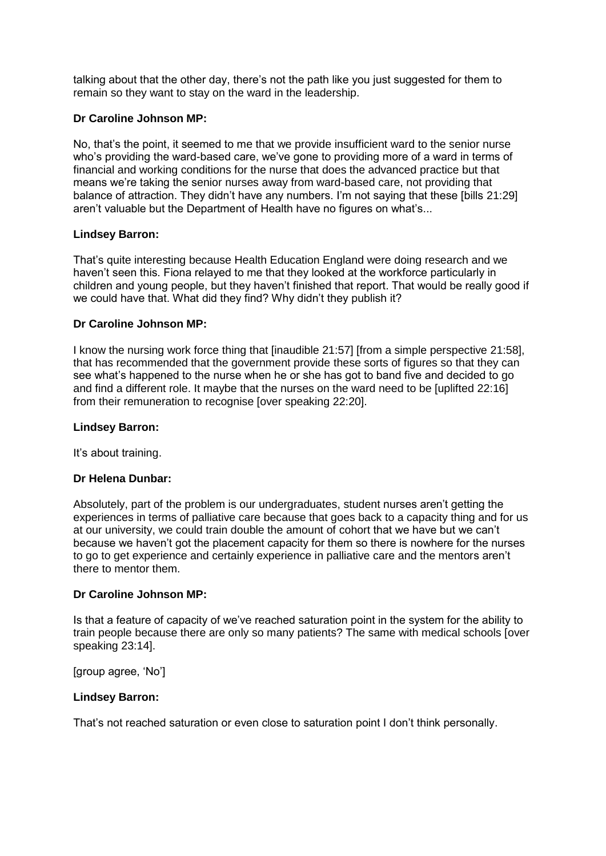talking about that the other day, there's not the path like you just suggested for them to remain so they want to stay on the ward in the leadership.

## **Dr Caroline Johnson MP:**

No, that's the point, it seemed to me that we provide insufficient ward to the senior nurse who's providing the ward-based care, we've gone to providing more of a ward in terms of financial and working conditions for the nurse that does the advanced practice but that means we're taking the senior nurses away from ward-based care, not providing that balance of attraction. They didn't have any numbers. I'm not saying that these [bills 21:29] aren't valuable but the Department of Health have no figures on what's...

### **Lindsey Barron:**

That's quite interesting because Health Education England were doing research and we haven't seen this. Fiona relayed to me that they looked at the workforce particularly in children and young people, but they haven't finished that report. That would be really good if we could have that. What did they find? Why didn't they publish it?

### **Dr Caroline Johnson MP:**

I know the nursing work force thing that [inaudible 21:57] [from a simple perspective 21:58], that has recommended that the government provide these sorts of figures so that they can see what's happened to the nurse when he or she has got to band five and decided to go and find a different role. It maybe that the nurses on the ward need to be [uplifted 22:16] from their remuneration to recognise [over speaking 22:20].

### **Lindsey Barron:**

It's about training.

## **Dr Helena Dunbar:**

Absolutely, part of the problem is our undergraduates, student nurses aren't getting the experiences in terms of palliative care because that goes back to a capacity thing and for us at our university, we could train double the amount of cohort that we have but we can't because we haven't got the placement capacity for them so there is nowhere for the nurses to go to get experience and certainly experience in palliative care and the mentors aren't there to mentor them.

#### **Dr Caroline Johnson MP:**

Is that a feature of capacity of we've reached saturation point in the system for the ability to train people because there are only so many patients? The same with medical schools [over speaking 23:14].

[group agree, 'No']

#### **Lindsey Barron:**

That's not reached saturation or even close to saturation point I don't think personally.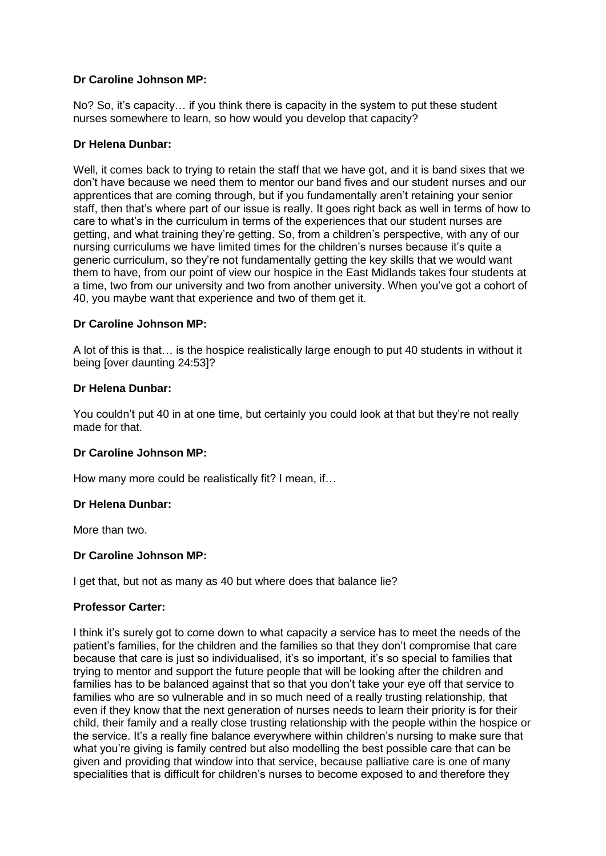No? So, it's capacity… if you think there is capacity in the system to put these student nurses somewhere to learn, so how would you develop that capacity?

# **Dr Helena Dunbar:**

Well, it comes back to trying to retain the staff that we have got, and it is band sixes that we don't have because we need them to mentor our band fives and our student nurses and our apprentices that are coming through, but if you fundamentally aren't retaining your senior staff, then that's where part of our issue is really. It goes right back as well in terms of how to care to what's in the curriculum in terms of the experiences that our student nurses are getting, and what training they're getting. So, from a children's perspective, with any of our nursing curriculums we have limited times for the children's nurses because it's quite a generic curriculum, so they're not fundamentally getting the key skills that we would want them to have, from our point of view our hospice in the East Midlands takes four students at a time, two from our university and two from another university. When you've got a cohort of 40, you maybe want that experience and two of them get it.

## **Dr Caroline Johnson MP:**

A lot of this is that… is the hospice realistically large enough to put 40 students in without it being [over daunting 24:53]?

## **Dr Helena Dunbar:**

You couldn't put 40 in at one time, but certainly you could look at that but they're not really made for that.

## **Dr Caroline Johnson MP:**

How many more could be realistically fit? I mean, if…

## **Dr Helena Dunbar:**

More than two.

## **Dr Caroline Johnson MP:**

I get that, but not as many as 40 but where does that balance lie?

## **Professor Carter:**

I think it's surely got to come down to what capacity a service has to meet the needs of the patient's families, for the children and the families so that they don't compromise that care because that care is just so individualised, it's so important, it's so special to families that trying to mentor and support the future people that will be looking after the children and families has to be balanced against that so that you don't take your eye off that service to families who are so vulnerable and in so much need of a really trusting relationship, that even if they know that the next generation of nurses needs to learn their priority is for their child, their family and a really close trusting relationship with the people within the hospice or the service. It's a really fine balance everywhere within children's nursing to make sure that what you're giving is family centred but also modelling the best possible care that can be given and providing that window into that service, because palliative care is one of many specialities that is difficult for children's nurses to become exposed to and therefore they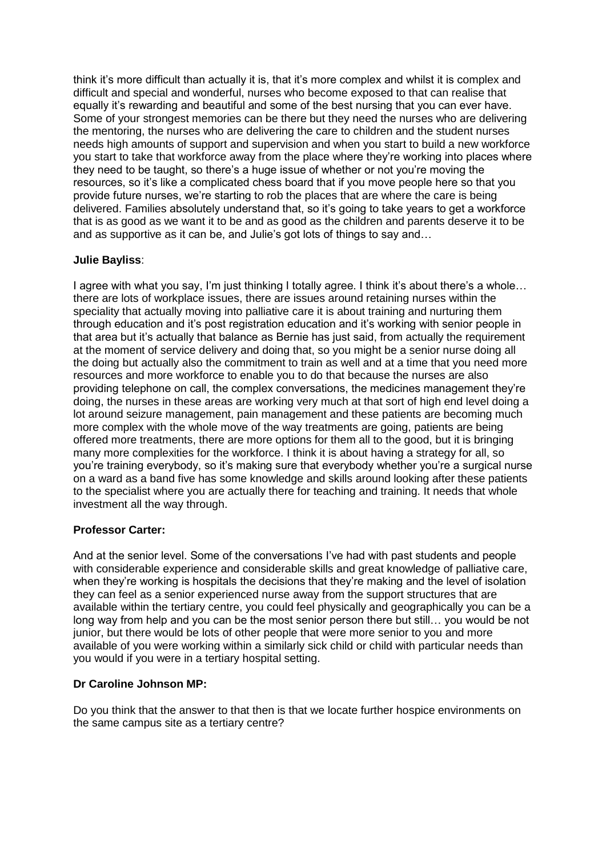think it's more difficult than actually it is, that it's more complex and whilst it is complex and difficult and special and wonderful, nurses who become exposed to that can realise that equally it's rewarding and beautiful and some of the best nursing that you can ever have. Some of your strongest memories can be there but they need the nurses who are delivering the mentoring, the nurses who are delivering the care to children and the student nurses needs high amounts of support and supervision and when you start to build a new workforce you start to take that workforce away from the place where they're working into places where they need to be taught, so there's a huge issue of whether or not you're moving the resources, so it's like a complicated chess board that if you move people here so that you provide future nurses, we're starting to rob the places that are where the care is being delivered. Families absolutely understand that, so it's going to take years to get a workforce that is as good as we want it to be and as good as the children and parents deserve it to be and as supportive as it can be, and Julie's got lots of things to say and…

## **Julie Bayliss**:

I agree with what you say, I'm just thinking I totally agree. I think it's about there's a whole… there are lots of workplace issues, there are issues around retaining nurses within the speciality that actually moving into palliative care it is about training and nurturing them through education and it's post registration education and it's working with senior people in that area but it's actually that balance as Bernie has just said, from actually the requirement at the moment of service delivery and doing that, so you might be a senior nurse doing all the doing but actually also the commitment to train as well and at a time that you need more resources and more workforce to enable you to do that because the nurses are also providing telephone on call, the complex conversations, the medicines management they're doing, the nurses in these areas are working very much at that sort of high end level doing a lot around seizure management, pain management and these patients are becoming much more complex with the whole move of the way treatments are going, patients are being offered more treatments, there are more options for them all to the good, but it is bringing many more complexities for the workforce. I think it is about having a strategy for all, so you're training everybody, so it's making sure that everybody whether you're a surgical nurse on a ward as a band five has some knowledge and skills around looking after these patients to the specialist where you are actually there for teaching and training. It needs that whole investment all the way through.

## **Professor Carter:**

And at the senior level. Some of the conversations I've had with past students and people with considerable experience and considerable skills and great knowledge of palliative care, when they're working is hospitals the decisions that they're making and the level of isolation they can feel as a senior experienced nurse away from the support structures that are available within the tertiary centre, you could feel physically and geographically you can be a long way from help and you can be the most senior person there but still… you would be not junior, but there would be lots of other people that were more senior to you and more available of you were working within a similarly sick child or child with particular needs than you would if you were in a tertiary hospital setting.

## **Dr Caroline Johnson MP:**

Do you think that the answer to that then is that we locate further hospice environments on the same campus site as a tertiary centre?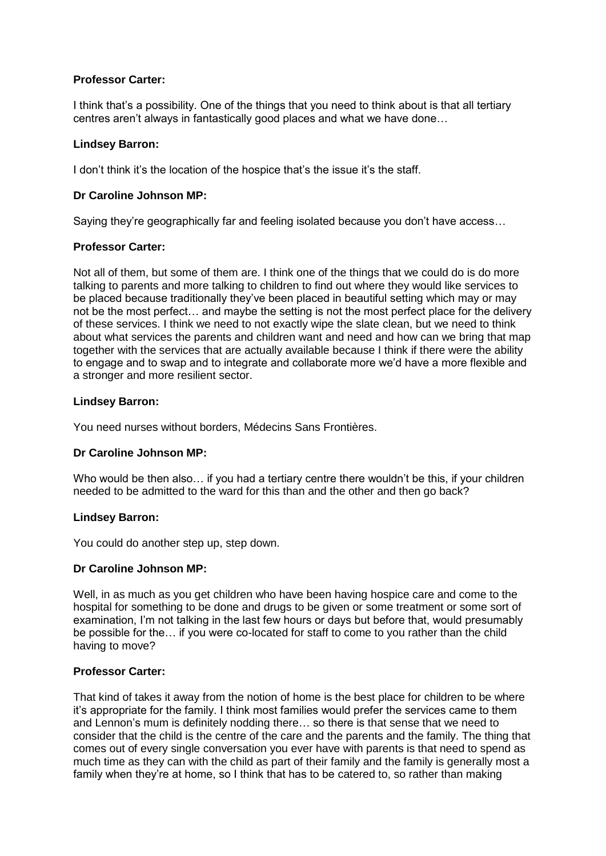## **Professor Carter:**

I think that's a possibility. One of the things that you need to think about is that all tertiary centres aren't always in fantastically good places and what we have done…

# **Lindsey Barron:**

I don't think it's the location of the hospice that's the issue it's the staff.

## **Dr Caroline Johnson MP:**

Saying they're geographically far and feeling isolated because you don't have access…

## **Professor Carter:**

Not all of them, but some of them are. I think one of the things that we could do is do more talking to parents and more talking to children to find out where they would like services to be placed because traditionally they've been placed in beautiful setting which may or may not be the most perfect… and maybe the setting is not the most perfect place for the delivery of these services. I think we need to not exactly wipe the slate clean, but we need to think about what services the parents and children want and need and how can we bring that map together with the services that are actually available because I think if there were the ability to engage and to swap and to integrate and collaborate more we'd have a more flexible and a stronger and more resilient sector.

# **Lindsey Barron:**

You need nurses without borders, Médecins Sans Frontières.

## **Dr Caroline Johnson MP:**

Who would be then also... if you had a tertiary centre there wouldn't be this, if your children needed to be admitted to the ward for this than and the other and then go back?

## **Lindsey Barron:**

You could do another step up, step down.

## **Dr Caroline Johnson MP:**

Well, in as much as you get children who have been having hospice care and come to the hospital for something to be done and drugs to be given or some treatment or some sort of examination, I'm not talking in the last few hours or days but before that, would presumably be possible for the… if you were co-located for staff to come to you rather than the child having to move?

## **Professor Carter:**

That kind of takes it away from the notion of home is the best place for children to be where it's appropriate for the family. I think most families would prefer the services came to them and Lennon's mum is definitely nodding there… so there is that sense that we need to consider that the child is the centre of the care and the parents and the family. The thing that comes out of every single conversation you ever have with parents is that need to spend as much time as they can with the child as part of their family and the family is generally most a family when they're at home, so I think that has to be catered to, so rather than making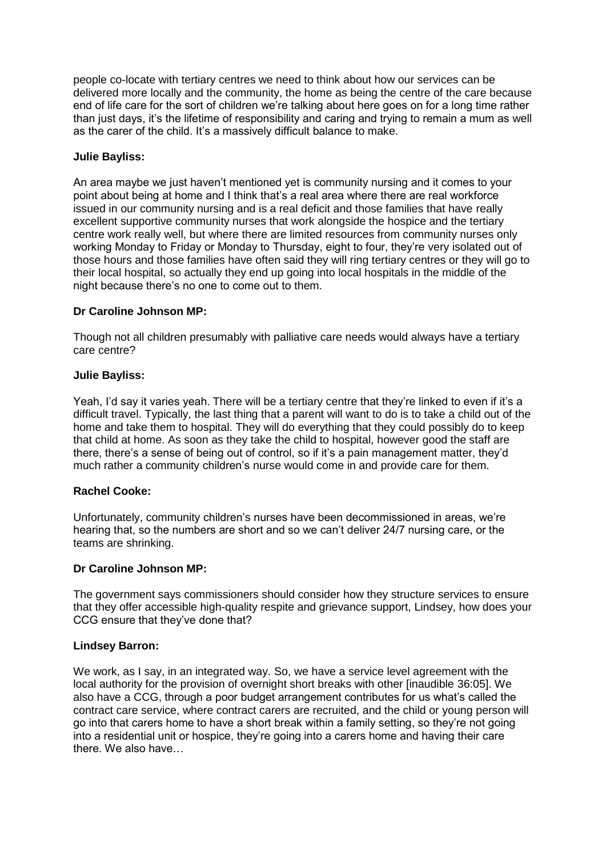people co-locate with tertiary centres we need to think about how our services can be delivered more locally and the community, the home as being the centre of the care because end of life care for the sort of children we're talking about here goes on for a long time rather than just days, it's the lifetime of responsibility and caring and trying to remain a mum as well as the carer of the child. It's a massively difficult balance to make.

## **Julie Bayliss:**

An area maybe we just haven't mentioned yet is community nursing and it comes to your point about being at home and I think that's a real area where there are real workforce issued in our community nursing and is a real deficit and those families that have really excellent supportive community nurses that work alongside the hospice and the tertiary centre work really well, but where there are limited resources from community nurses only working Monday to Friday or Monday to Thursday, eight to four, they're very isolated out of those hours and those families have often said they will ring tertiary centres or they will go to their local hospital, so actually they end up going into local hospitals in the middle of the night because there's no one to come out to them.

### **Dr Caroline Johnson MP:**

Though not all children presumably with palliative care needs would always have a tertiary care centre?

### **Julie Bayliss:**

Yeah, I'd say it varies yeah. There will be a tertiary centre that they're linked to even if it's a difficult travel. Typically, the last thing that a parent will want to do is to take a child out of the home and take them to hospital. They will do everything that they could possibly do to keep that child at home. As soon as they take the child to hospital, however good the staff are there, there's a sense of being out of control, so if it's a pain management matter, they'd much rather a community children's nurse would come in and provide care for them.

#### **Rachel Cooke:**

Unfortunately, community children's nurses have been decommissioned in areas, we're hearing that, so the numbers are short and so we can't deliver 24/7 nursing care, or the teams are shrinking.

#### **Dr Caroline Johnson MP:**

The government says commissioners should consider how they structure services to ensure that they offer accessible high-quality respite and grievance support, Lindsey, how does your CCG ensure that they've done that?

#### **Lindsey Barron:**

We work, as I say, in an integrated way. So, we have a service level agreement with the local authority for the provision of overnight short breaks with other [inaudible 36:05]. We also have a CCG, through a poor budget arrangement contributes for us what's called the contract care service, where contract carers are recruited, and the child or young person will go into that carers home to have a short break within a family setting, so they're not going into a residential unit or hospice, they're going into a carers home and having their care there. We also have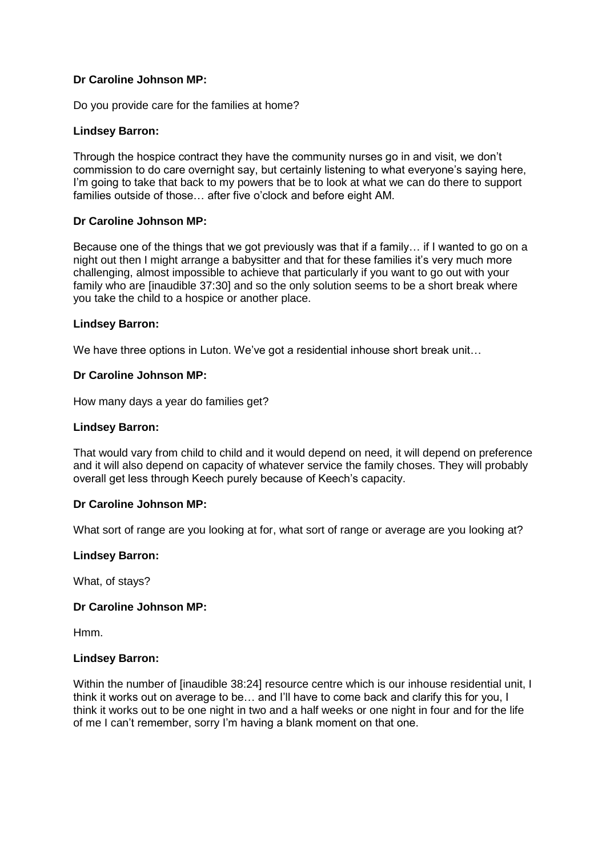Do you provide care for the families at home?

### **Lindsey Barron:**

Through the hospice contract they have the community nurses go in and visit, we don't commission to do care overnight say, but certainly listening to what everyone's saying here, I'm going to take that back to my powers that be to look at what we can do there to support families outside of those… after five o'clock and before eight AM.

## **Dr Caroline Johnson MP:**

Because one of the things that we got previously was that if a family… if I wanted to go on a night out then I might arrange a babysitter and that for these families it's very much more challenging, almost impossible to achieve that particularly if you want to go out with your family who are [inaudible 37:30] and so the only solution seems to be a short break where you take the child to a hospice or another place.

#### **Lindsey Barron:**

We have three options in Luton. We've got a residential inhouse short break unit...

### **Dr Caroline Johnson MP:**

How many days a year do families get?

#### **Lindsey Barron:**

That would vary from child to child and it would depend on need, it will depend on preference and it will also depend on capacity of whatever service the family choses. They will probably overall get less through Keech purely because of Keech's capacity.

#### **Dr Caroline Johnson MP:**

What sort of range are you looking at for, what sort of range or average are you looking at?

#### **Lindsey Barron:**

What, of stays?

#### **Dr Caroline Johnson MP:**

Hmm.

#### **Lindsey Barron:**

Within the number of [inaudible 38:24] resource centre which is our inhouse residential unit, I think it works out on average to be… and I'll have to come back and clarify this for you, I think it works out to be one night in two and a half weeks or one night in four and for the life of me I can't remember, sorry I'm having a blank moment on that one.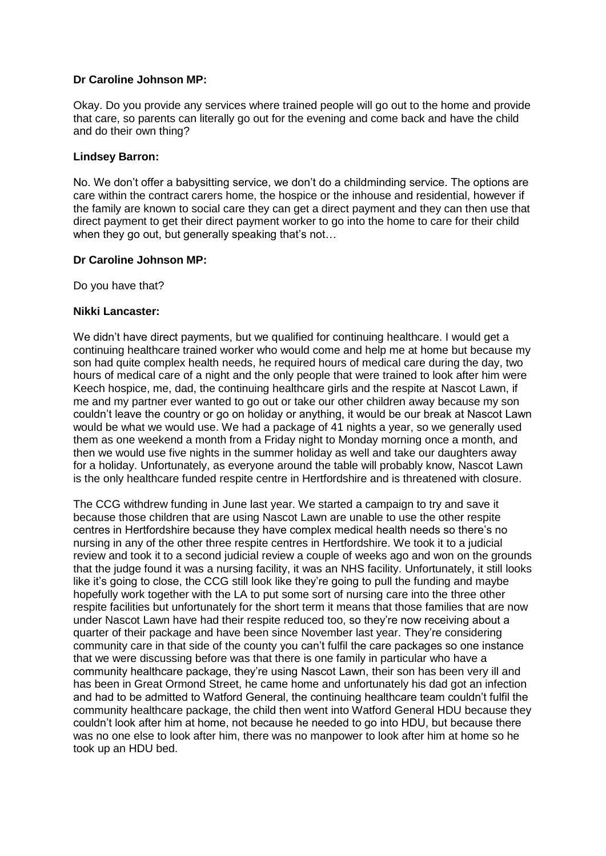Okay. Do you provide any services where trained people will go out to the home and provide that care, so parents can literally go out for the evening and come back and have the child and do their own thing?

### **Lindsey Barron:**

No. We don't offer a babysitting service, we don't do a childminding service. The options are care within the contract carers home, the hospice or the inhouse and residential, however if the family are known to social care they can get a direct payment and they can then use that direct payment to get their direct payment worker to go into the home to care for their child when they go out, but generally speaking that's not...

### **Dr Caroline Johnson MP:**

Do you have that?

### **Nikki Lancaster:**

We didn't have direct payments, but we qualified for continuing healthcare. I would get a continuing healthcare trained worker who would come and help me at home but because my son had quite complex health needs, he required hours of medical care during the day, two hours of medical care of a night and the only people that were trained to look after him were Keech hospice, me, dad, the continuing healthcare girls and the respite at Nascot Lawn, if me and my partner ever wanted to go out or take our other children away because my son couldn't leave the country or go on holiday or anything, it would be our break at Nascot Lawn would be what we would use. We had a package of 41 nights a year, so we generally used them as one weekend a month from a Friday night to Monday morning once a month, and then we would use five nights in the summer holiday as well and take our daughters away for a holiday. Unfortunately, as everyone around the table will probably know, Nascot Lawn is the only healthcare funded respite centre in Hertfordshire and is threatened with closure.

The CCG withdrew funding in June last year. We started a campaign to try and save it because those children that are using Nascot Lawn are unable to use the other respite centres in Hertfordshire because they have complex medical health needs so there's no nursing in any of the other three respite centres in Hertfordshire. We took it to a judicial review and took it to a second judicial review a couple of weeks ago and won on the grounds that the judge found it was a nursing facility, it was an NHS facility. Unfortunately, it still looks like it's going to close, the CCG still look like they're going to pull the funding and maybe hopefully work together with the LA to put some sort of nursing care into the three other respite facilities but unfortunately for the short term it means that those families that are now under Nascot Lawn have had their respite reduced too, so they're now receiving about a quarter of their package and have been since November last year. They're considering community care in that side of the county you can't fulfil the care packages so one instance that we were discussing before was that there is one family in particular who have a community healthcare package, they're using Nascot Lawn, their son has been very ill and has been in Great Ormond Street, he came home and unfortunately his dad got an infection and had to be admitted to Watford General, the continuing healthcare team couldn't fulfil the community healthcare package, the child then went into Watford General HDU because they couldn't look after him at home, not because he needed to go into HDU, but because there was no one else to look after him, there was no manpower to look after him at home so he took up an HDU bed.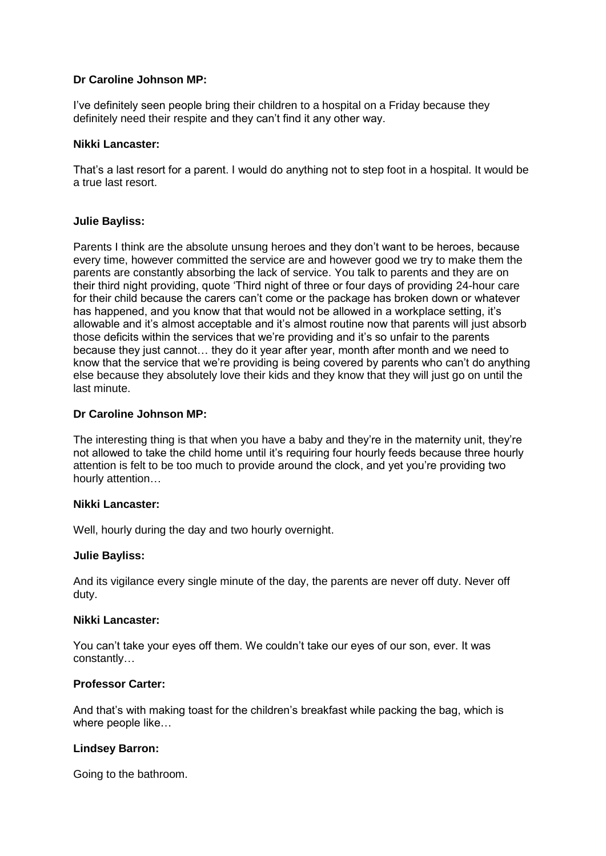I've definitely seen people bring their children to a hospital on a Friday because they definitely need their respite and they can't find it any other way.

## **Nikki Lancaster:**

That's a last resort for a parent. I would do anything not to step foot in a hospital. It would be a true last resort.

## **Julie Bayliss:**

Parents I think are the absolute unsung heroes and they don't want to be heroes, because every time, however committed the service are and however good we try to make them the parents are constantly absorbing the lack of service. You talk to parents and they are on their third night providing, quote 'Third night of three or four days of providing 24-hour care for their child because the carers can't come or the package has broken down or whatever has happened, and you know that that would not be allowed in a workplace setting, it's allowable and it's almost acceptable and it's almost routine now that parents will just absorb those deficits within the services that we're providing and it's so unfair to the parents because they just cannot… they do it year after year, month after month and we need to know that the service that we're providing is being covered by parents who can't do anything else because they absolutely love their kids and they know that they will just go on until the last minute.

### **Dr Caroline Johnson MP:**

The interesting thing is that when you have a baby and they're in the maternity unit, they're not allowed to take the child home until it's requiring four hourly feeds because three hourly attention is felt to be too much to provide around the clock, and yet you're providing two hourly attention…

#### **Nikki Lancaster:**

Well, hourly during the day and two hourly overnight.

#### **Julie Bayliss:**

And its vigilance every single minute of the day, the parents are never off duty. Never off duty.

#### **Nikki Lancaster:**

You can't take your eyes off them. We couldn't take our eyes of our son, ever. It was constantly…

## **Professor Carter:**

And that's with making toast for the children's breakfast while packing the bag, which is where people like…

#### **Lindsey Barron:**

Going to the bathroom.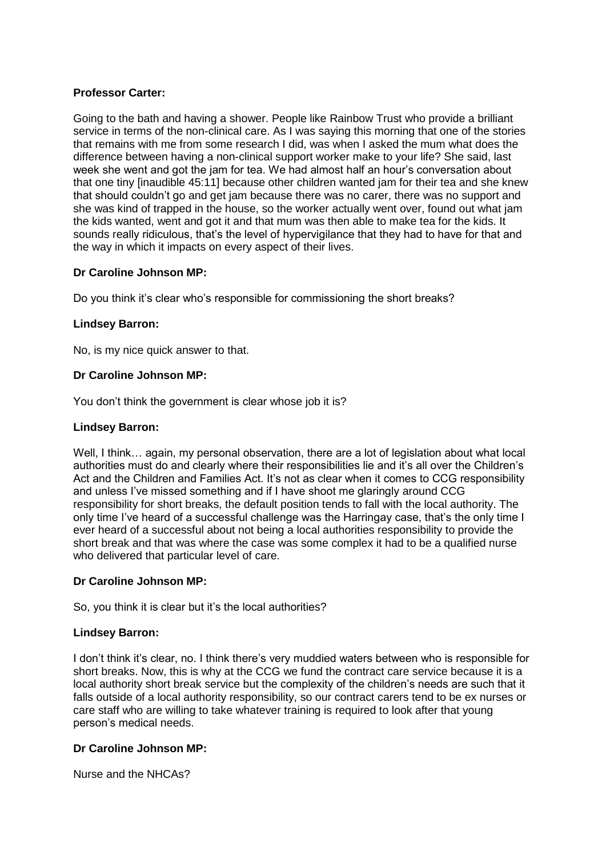# **Professor Carter:**

Going to the bath and having a shower. People like Rainbow Trust who provide a brilliant service in terms of the non-clinical care. As I was saying this morning that one of the stories that remains with me from some research I did, was when I asked the mum what does the difference between having a non-clinical support worker make to your life? She said, last week she went and got the jam for tea. We had almost half an hour's conversation about that one tiny [inaudible 45:11] because other children wanted jam for their tea and she knew that should couldn't go and get jam because there was no carer, there was no support and she was kind of trapped in the house, so the worker actually went over, found out what jam the kids wanted, went and got it and that mum was then able to make tea for the kids. It sounds really ridiculous, that's the level of hypervigilance that they had to have for that and the way in which it impacts on every aspect of their lives.

## **Dr Caroline Johnson MP:**

Do you think it's clear who's responsible for commissioning the short breaks?

### **Lindsey Barron:**

No, is my nice quick answer to that.

### **Dr Caroline Johnson MP:**

You don't think the government is clear whose job it is?

### **Lindsey Barron:**

Well, I think... again, my personal observation, there are a lot of legislation about what local authorities must do and clearly where their responsibilities lie and it's all over the Children's Act and the Children and Families Act. It's not as clear when it comes to CCG responsibility and unless I've missed something and if I have shoot me glaringly around CCG responsibility for short breaks, the default position tends to fall with the local authority. The only time I've heard of a successful challenge was the Harringay case, that's the only time I ever heard of a successful about not being a local authorities responsibility to provide the short break and that was where the case was some complex it had to be a qualified nurse who delivered that particular level of care.

#### **Dr Caroline Johnson MP:**

So, you think it is clear but it's the local authorities?

#### **Lindsey Barron:**

I don't think it's clear, no. I think there's very muddied waters between who is responsible for short breaks. Now, this is why at the CCG we fund the contract care service because it is a local authority short break service but the complexity of the children's needs are such that it falls outside of a local authority responsibility, so our contract carers tend to be ex nurses or care staff who are willing to take whatever training is required to look after that young person's medical needs.

## **Dr Caroline Johnson MP:**

Nurse and the NHCAs?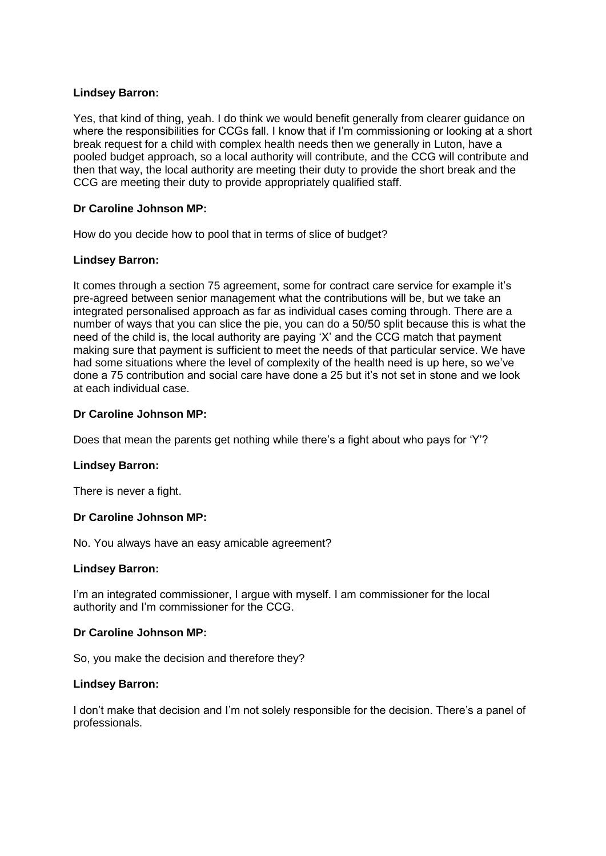## **Lindsey Barron:**

Yes, that kind of thing, yeah. I do think we would benefit generally from clearer guidance on where the responsibilities for CCGs fall. I know that if I'm commissioning or looking at a short break request for a child with complex health needs then we generally in Luton, have a pooled budget approach, so a local authority will contribute, and the CCG will contribute and then that way, the local authority are meeting their duty to provide the short break and the CCG are meeting their duty to provide appropriately qualified staff.

# **Dr Caroline Johnson MP:**

How do you decide how to pool that in terms of slice of budget?

## **Lindsey Barron:**

It comes through a section 75 agreement, some for contract care service for example it's pre-agreed between senior management what the contributions will be, but we take an integrated personalised approach as far as individual cases coming through. There are a number of ways that you can slice the pie, you can do a 50/50 split because this is what the need of the child is, the local authority are paying 'X' and the CCG match that payment making sure that payment is sufficient to meet the needs of that particular service. We have had some situations where the level of complexity of the health need is up here, so we've done a 75 contribution and social care have done a 25 but it's not set in stone and we look at each individual case.

### **Dr Caroline Johnson MP:**

Does that mean the parents get nothing while there's a fight about who pays for 'Y'?

#### **Lindsey Barron:**

There is never a fight.

## **Dr Caroline Johnson MP:**

No. You always have an easy amicable agreement?

#### **Lindsey Barron:**

I'm an integrated commissioner, I argue with myself. I am commissioner for the local authority and I'm commissioner for the CCG.

#### **Dr Caroline Johnson MP:**

So, you make the decision and therefore they?

#### **Lindsey Barron:**

I don't make that decision and I'm not solely responsible for the decision. There's a panel of professionals.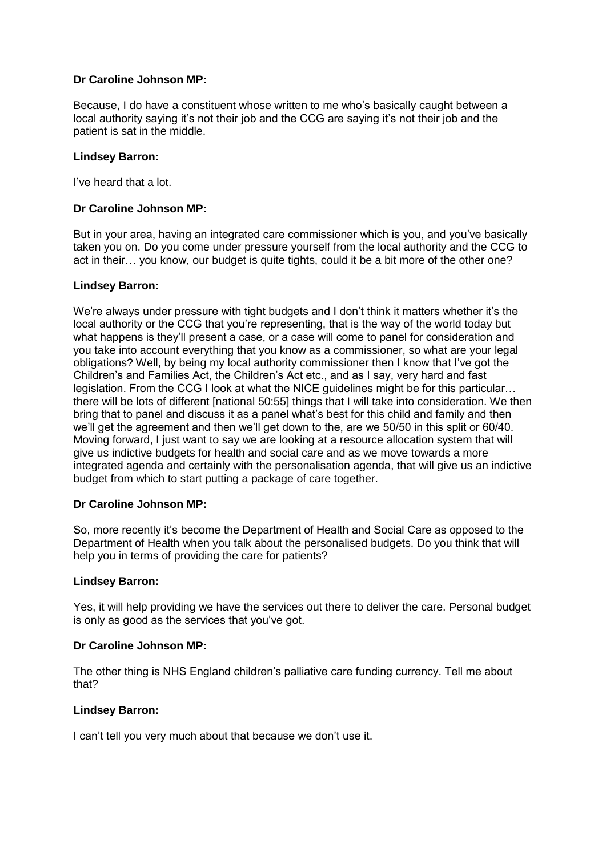Because, I do have a constituent whose written to me who's basically caught between a local authority saying it's not their job and the CCG are saying it's not their job and the patient is sat in the middle.

## **Lindsey Barron:**

I've heard that a lot.

## **Dr Caroline Johnson MP:**

But in your area, having an integrated care commissioner which is you, and you've basically taken you on. Do you come under pressure yourself from the local authority and the CCG to act in their… you know, our budget is quite tights, could it be a bit more of the other one?

### **Lindsey Barron:**

We're always under pressure with tight budgets and I don't think it matters whether it's the local authority or the CCG that you're representing, that is the way of the world today but what happens is they'll present a case, or a case will come to panel for consideration and you take into account everything that you know as a commissioner, so what are your legal obligations? Well, by being my local authority commissioner then I know that I've got the Children's and Families Act, the Children's Act etc., and as I say, very hard and fast legislation. From the CCG I look at what the NICE guidelines might be for this particular… there will be lots of different [national 50:55] things that I will take into consideration. We then bring that to panel and discuss it as a panel what's best for this child and family and then we'll get the agreement and then we'll get down to the, are we 50/50 in this split or 60/40. Moving forward, I just want to say we are looking at a resource allocation system that will give us indictive budgets for health and social care and as we move towards a more integrated agenda and certainly with the personalisation agenda, that will give us an indictive budget from which to start putting a package of care together.

#### **Dr Caroline Johnson MP:**

So, more recently it's become the Department of Health and Social Care as opposed to the Department of Health when you talk about the personalised budgets. Do you think that will help you in terms of providing the care for patients?

#### **Lindsey Barron:**

Yes, it will help providing we have the services out there to deliver the care. Personal budget is only as good as the services that you've got.

## **Dr Caroline Johnson MP:**

The other thing is NHS England children's palliative care funding currency. Tell me about that?

#### **Lindsey Barron:**

I can't tell you very much about that because we don't use it.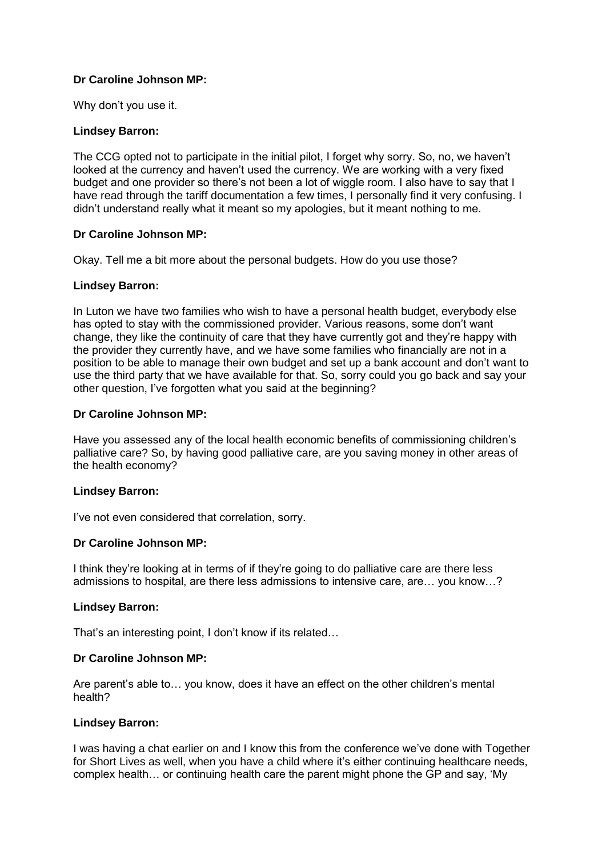Why don't you use it.

## **Lindsey Barron:**

The CCG opted not to participate in the initial pilot, I forget why sorry. So, no, we haven't looked at the currency and haven't used the currency. We are working with a very fixed budget and one provider so there's not been a lot of wiggle room. I also have to say that I have read through the tariff documentation a few times, I personally find it very confusing. I didn't understand really what it meant so my apologies, but it meant nothing to me.

## **Dr Caroline Johnson MP:**

Okay. Tell me a bit more about the personal budgets. How do you use those?

### **Lindsey Barron:**

In Luton we have two families who wish to have a personal health budget, everybody else has opted to stay with the commissioned provider. Various reasons, some don't want change, they like the continuity of care that they have currently got and they're happy with the provider they currently have, and we have some families who financially are not in a position to be able to manage their own budget and set up a bank account and don't want to use the third party that we have available for that. So, sorry could you go back and say your other question, I've forgotten what you said at the beginning?

### **Dr Caroline Johnson MP:**

Have you assessed any of the local health economic benefits of commissioning children's palliative care? So, by having good palliative care, are you saving money in other areas of the health economy?

#### **Lindsey Barron:**

I've not even considered that correlation, sorry.

## **Dr Caroline Johnson MP:**

I think they're looking at in terms of if they're going to do palliative care are there less admissions to hospital, are there less admissions to intensive care, are… you know…?

#### **Lindsey Barron:**

That's an interesting point, I don't know if its related…

## **Dr Caroline Johnson MP:**

Are parent's able to… you know, does it have an effect on the other children's mental health?

#### **Lindsey Barron:**

I was having a chat earlier on and I know this from the conference we've done with Together for Short Lives as well, when you have a child where it's either continuing healthcare needs, complex health… or continuing health care the parent might phone the GP and say, 'My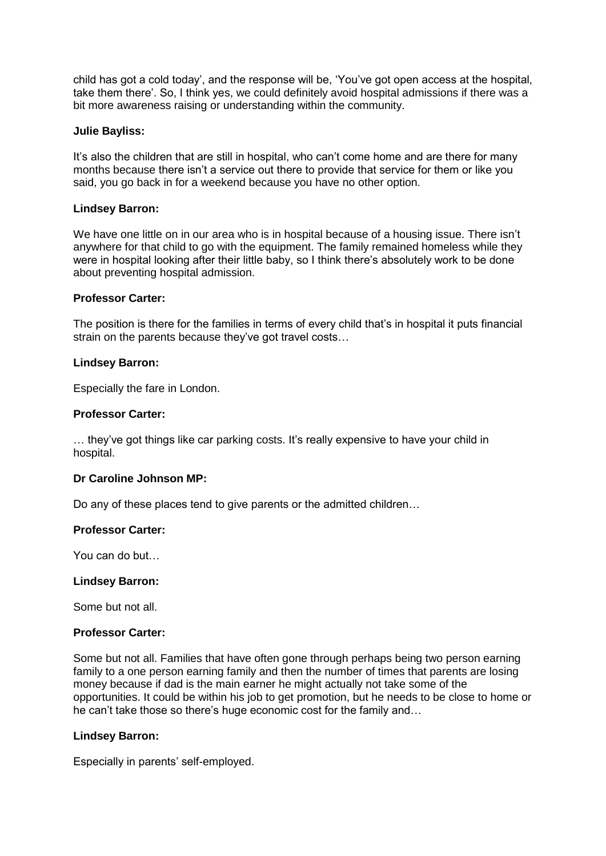child has got a cold today', and the response will be, 'You've got open access at the hospital, take them there'. So, I think yes, we could definitely avoid hospital admissions if there was a bit more awareness raising or understanding within the community.

### **Julie Bayliss:**

It's also the children that are still in hospital, who can't come home and are there for many months because there isn't a service out there to provide that service for them or like you said, you go back in for a weekend because you have no other option.

## **Lindsey Barron:**

We have one little on in our area who is in hospital because of a housing issue. There isn't anywhere for that child to go with the equipment. The family remained homeless while they were in hospital looking after their little baby, so I think there's absolutely work to be done about preventing hospital admission.

### **Professor Carter:**

The position is there for the families in terms of every child that's in hospital it puts financial strain on the parents because they've got travel costs…

### **Lindsey Barron:**

Especially the fare in London.

### **Professor Carter:**

… they've got things like car parking costs. It's really expensive to have your child in hospital.

## **Dr Caroline Johnson MP:**

Do any of these places tend to give parents or the admitted children…

## **Professor Carter:**

You can do but…

#### **Lindsey Barron:**

Some but not all.

#### **Professor Carter:**

Some but not all. Families that have often gone through perhaps being two person earning family to a one person earning family and then the number of times that parents are losing money because if dad is the main earner he might actually not take some of the opportunities. It could be within his job to get promotion, but he needs to be close to home or he can't take those so there's huge economic cost for the family and…

#### **Lindsey Barron:**

Especially in parents' self-employed.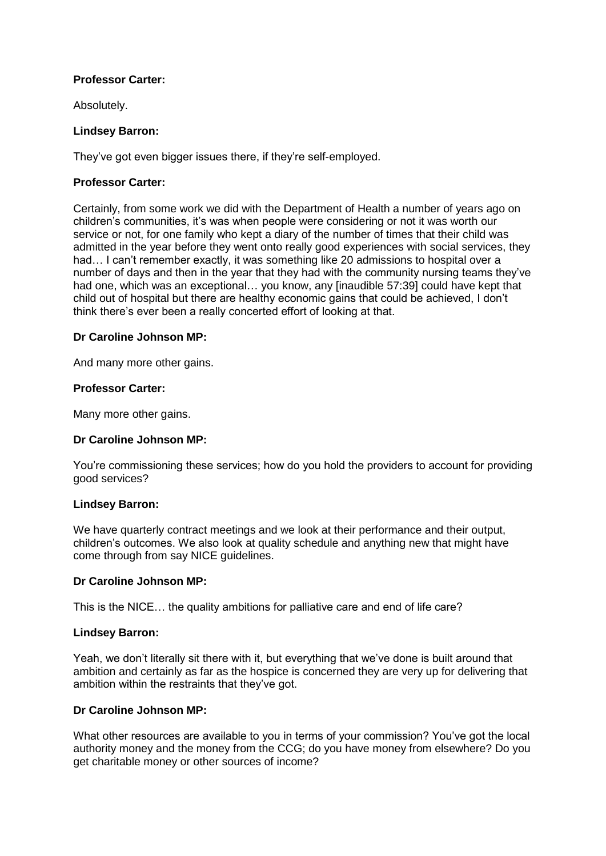## **Professor Carter:**

Absolutely.

### **Lindsey Barron:**

They've got even bigger issues there, if they're self-employed.

### **Professor Carter:**

Certainly, from some work we did with the Department of Health a number of years ago on children's communities, it's was when people were considering or not it was worth our service or not, for one family who kept a diary of the number of times that their child was admitted in the year before they went onto really good experiences with social services, they had… I can't remember exactly, it was something like 20 admissions to hospital over a number of days and then in the year that they had with the community nursing teams they've had one, which was an exceptional… you know, any [inaudible 57:39] could have kept that child out of hospital but there are healthy economic gains that could be achieved, I don't think there's ever been a really concerted effort of looking at that.

### **Dr Caroline Johnson MP:**

And many more other gains.

### **Professor Carter:**

Many more other gains.

## **Dr Caroline Johnson MP:**

You're commissioning these services; how do you hold the providers to account for providing good services?

#### **Lindsey Barron:**

We have quarterly contract meetings and we look at their performance and their output, children's outcomes. We also look at quality schedule and anything new that might have come through from say NICE guidelines.

#### **Dr Caroline Johnson MP:**

This is the NICE… the quality ambitions for palliative care and end of life care?

#### **Lindsey Barron:**

Yeah, we don't literally sit there with it, but everything that we've done is built around that ambition and certainly as far as the hospice is concerned they are very up for delivering that ambition within the restraints that they've got.

## **Dr Caroline Johnson MP:**

What other resources are available to you in terms of your commission? You've got the local authority money and the money from the CCG; do you have money from elsewhere? Do you get charitable money or other sources of income?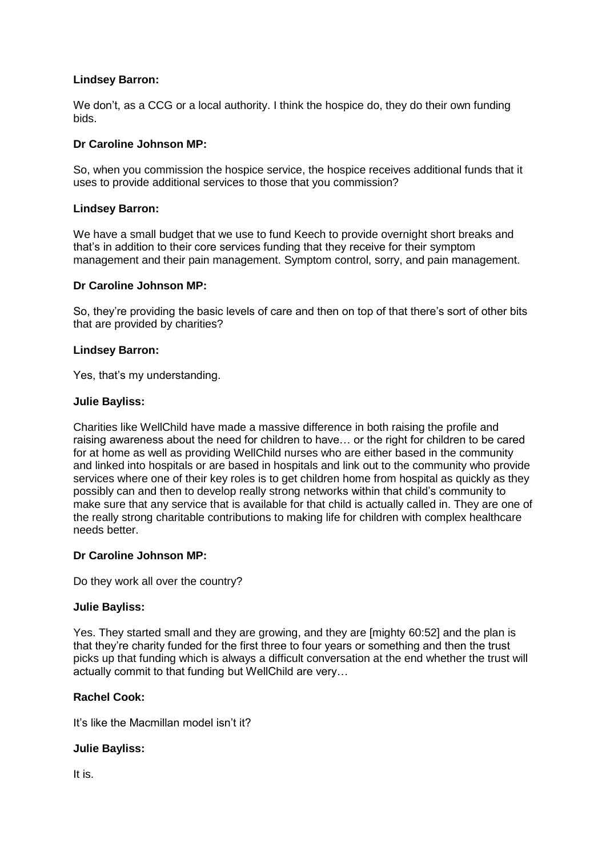### **Lindsey Barron:**

We don't, as a CCG or a local authority. I think the hospice do, they do their own funding bids.

### **Dr Caroline Johnson MP:**

So, when you commission the hospice service, the hospice receives additional funds that it uses to provide additional services to those that you commission?

### **Lindsey Barron:**

We have a small budget that we use to fund Keech to provide overnight short breaks and that's in addition to their core services funding that they receive for their symptom management and their pain management. Symptom control, sorry, and pain management.

### **Dr Caroline Johnson MP:**

So, they're providing the basic levels of care and then on top of that there's sort of other bits that are provided by charities?

### **Lindsey Barron:**

Yes, that's my understanding.

### **Julie Bayliss:**

Charities like WellChild have made a massive difference in both raising the profile and raising awareness about the need for children to have… or the right for children to be cared for at home as well as providing WellChild nurses who are either based in the community and linked into hospitals or are based in hospitals and link out to the community who provide services where one of their key roles is to get children home from hospital as quickly as they possibly can and then to develop really strong networks within that child's community to make sure that any service that is available for that child is actually called in. They are one of the really strong charitable contributions to making life for children with complex healthcare needs better.

#### **Dr Caroline Johnson MP:**

Do they work all over the country?

#### **Julie Bayliss:**

Yes. They started small and they are growing, and they are [mighty 60:52] and the plan is that they're charity funded for the first three to four years or something and then the trust picks up that funding which is always a difficult conversation at the end whether the trust will actually commit to that funding but WellChild are very…

## **Rachel Cook:**

It's like the Macmillan model isn't it?

#### **Julie Bayliss:**

It is.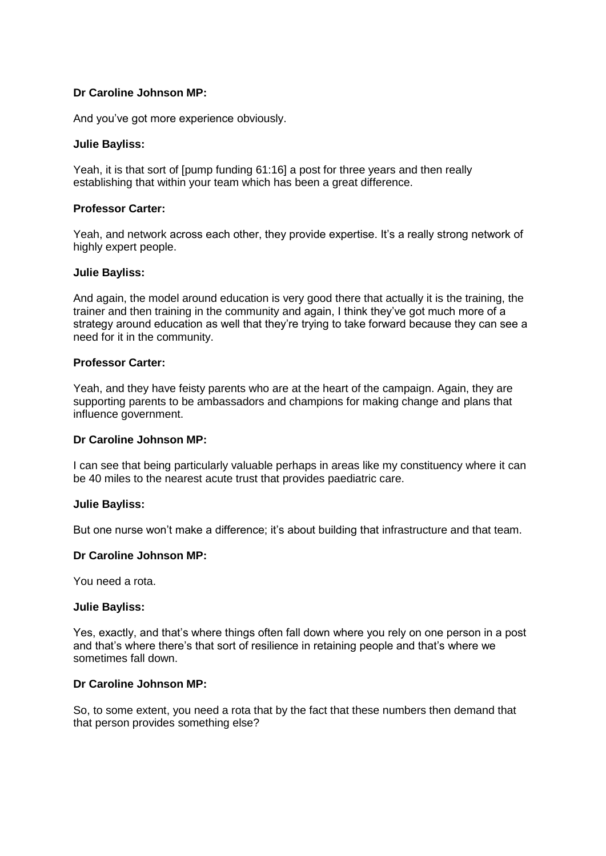And you've got more experience obviously.

### **Julie Bayliss:**

Yeah, it is that sort of [pump funding 61:16] a post for three years and then really establishing that within your team which has been a great difference.

## **Professor Carter:**

Yeah, and network across each other, they provide expertise. It's a really strong network of highly expert people.

#### **Julie Bayliss:**

And again, the model around education is very good there that actually it is the training, the trainer and then training in the community and again, I think they've got much more of a strategy around education as well that they're trying to take forward because they can see a need for it in the community.

### **Professor Carter:**

Yeah, and they have feisty parents who are at the heart of the campaign. Again, they are supporting parents to be ambassadors and champions for making change and plans that influence government.

#### **Dr Caroline Johnson MP:**

I can see that being particularly valuable perhaps in areas like my constituency where it can be 40 miles to the nearest acute trust that provides paediatric care.

#### **Julie Bayliss:**

But one nurse won't make a difference; it's about building that infrastructure and that team.

#### **Dr Caroline Johnson MP:**

You need a rota.

#### **Julie Bayliss:**

Yes, exactly, and that's where things often fall down where you rely on one person in a post and that's where there's that sort of resilience in retaining people and that's where we sometimes fall down.

### **Dr Caroline Johnson MP:**

So, to some extent, you need a rota that by the fact that these numbers then demand that that person provides something else?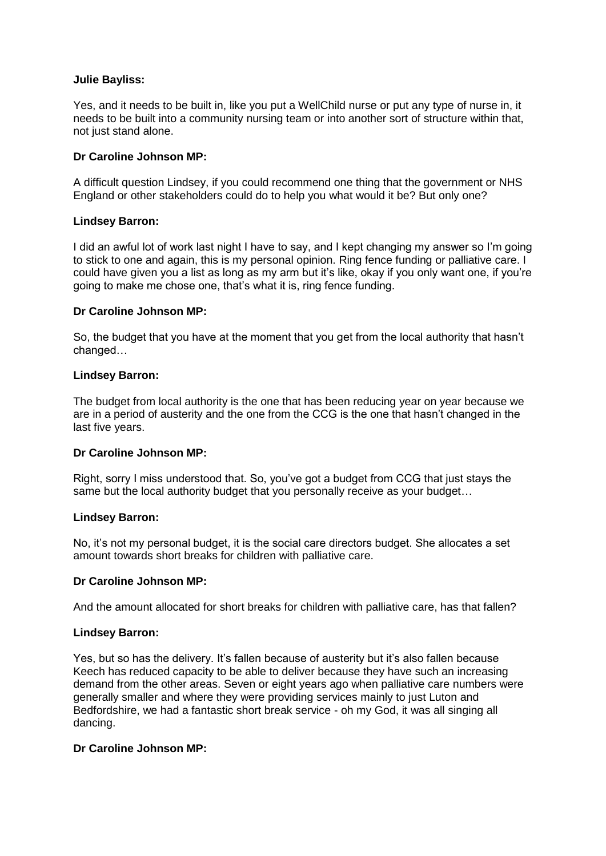### **Julie Bayliss:**

Yes, and it needs to be built in, like you put a WellChild nurse or put any type of nurse in, it needs to be built into a community nursing team or into another sort of structure within that, not just stand alone.

### **Dr Caroline Johnson MP:**

A difficult question Lindsey, if you could recommend one thing that the government or NHS England or other stakeholders could do to help you what would it be? But only one?

### **Lindsey Barron:**

I did an awful lot of work last night I have to say, and I kept changing my answer so I'm going to stick to one and again, this is my personal opinion. Ring fence funding or palliative care. I could have given you a list as long as my arm but it's like, okay if you only want one, if you're going to make me chose one, that's what it is, ring fence funding.

### **Dr Caroline Johnson MP:**

So, the budget that you have at the moment that you get from the local authority that hasn't changed…

### **Lindsey Barron:**

The budget from local authority is the one that has been reducing year on year because we are in a period of austerity and the one from the CCG is the one that hasn't changed in the last five years.

## **Dr Caroline Johnson MP:**

Right, sorry I miss understood that. So, you've got a budget from CCG that just stays the same but the local authority budget that you personally receive as your budget…

#### **Lindsey Barron:**

No, it's not my personal budget, it is the social care directors budget. She allocates a set amount towards short breaks for children with palliative care.

#### **Dr Caroline Johnson MP:**

And the amount allocated for short breaks for children with palliative care, has that fallen?

#### **Lindsey Barron:**

Yes, but so has the delivery. It's fallen because of austerity but it's also fallen because Keech has reduced capacity to be able to deliver because they have such an increasing demand from the other areas. Seven or eight years ago when palliative care numbers were generally smaller and where they were providing services mainly to just Luton and Bedfordshire, we had a fantastic short break service - oh my God, it was all singing all dancing.

#### **Dr Caroline Johnson MP:**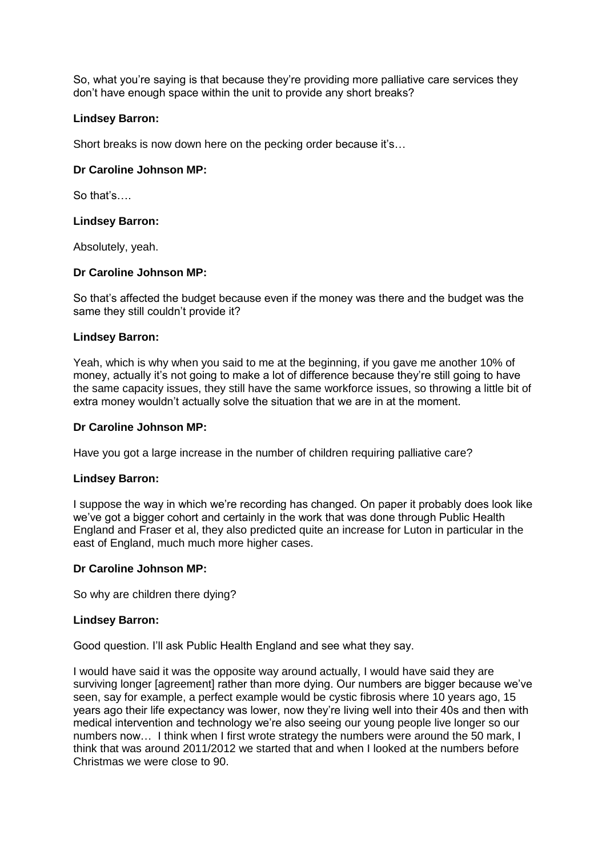So, what you're saying is that because they're providing more palliative care services they don't have enough space within the unit to provide any short breaks?

## **Lindsey Barron:**

Short breaks is now down here on the pecking order because it's…

## **Dr Caroline Johnson MP:**

So that's….

### **Lindsey Barron:**

Absolutely, yeah.

### **Dr Caroline Johnson MP:**

So that's affected the budget because even if the money was there and the budget was the same they still couldn't provide it?

### **Lindsey Barron:**

Yeah, which is why when you said to me at the beginning, if you gave me another 10% of money, actually it's not going to make a lot of difference because they're still going to have the same capacity issues, they still have the same workforce issues, so throwing a little bit of extra money wouldn't actually solve the situation that we are in at the moment.

### **Dr Caroline Johnson MP:**

Have you got a large increase in the number of children requiring palliative care?

#### **Lindsey Barron:**

I suppose the way in which we're recording has changed. On paper it probably does look like we've got a bigger cohort and certainly in the work that was done through Public Health England and Fraser et al, they also predicted quite an increase for Luton in particular in the east of England, much much more higher cases.

#### **Dr Caroline Johnson MP:**

So why are children there dying?

#### **Lindsey Barron:**

Good question. I'll ask Public Health England and see what they say.

I would have said it was the opposite way around actually, I would have said they are surviving longer [agreement] rather than more dying. Our numbers are bigger because we've seen, say for example, a perfect example would be cystic fibrosis where 10 years ago, 15 years ago their life expectancy was lower, now they're living well into their 40s and then with medical intervention and technology we're also seeing our young people live longer so our numbers now… I think when I first wrote strategy the numbers were around the 50 mark, I think that was around 2011/2012 we started that and when I looked at the numbers before Christmas we were close to 90.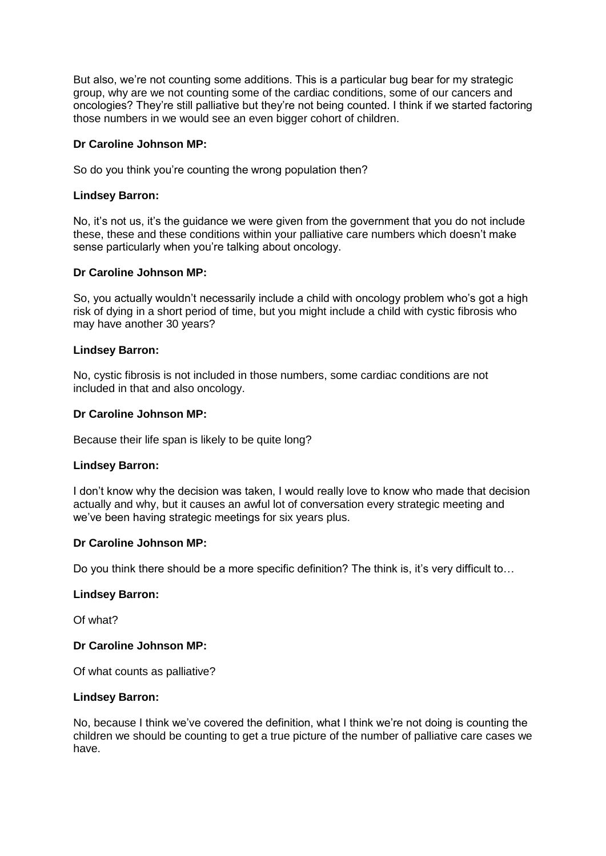But also, we're not counting some additions. This is a particular bug bear for my strategic group, why are we not counting some of the cardiac conditions, some of our cancers and oncologies? They're still palliative but they're not being counted. I think if we started factoring those numbers in we would see an even bigger cohort of children.

## **Dr Caroline Johnson MP:**

So do you think you're counting the wrong population then?

### **Lindsey Barron:**

No, it's not us, it's the guidance we were given from the government that you do not include these, these and these conditions within your palliative care numbers which doesn't make sense particularly when you're talking about oncology.

### **Dr Caroline Johnson MP:**

So, you actually wouldn't necessarily include a child with oncology problem who's got a high risk of dying in a short period of time, but you might include a child with cystic fibrosis who may have another 30 years?

### **Lindsey Barron:**

No, cystic fibrosis is not included in those numbers, some cardiac conditions are not included in that and also oncology.

### **Dr Caroline Johnson MP:**

Because their life span is likely to be quite long?

#### **Lindsey Barron:**

I don't know why the decision was taken, I would really love to know who made that decision actually and why, but it causes an awful lot of conversation every strategic meeting and we've been having strategic meetings for six years plus.

#### **Dr Caroline Johnson MP:**

Do you think there should be a more specific definition? The think is, it's very difficult to...

#### **Lindsey Barron:**

Of what?

#### **Dr Caroline Johnson MP:**

Of what counts as palliative?

#### **Lindsey Barron:**

No, because I think we've covered the definition, what I think we're not doing is counting the children we should be counting to get a true picture of the number of palliative care cases we have.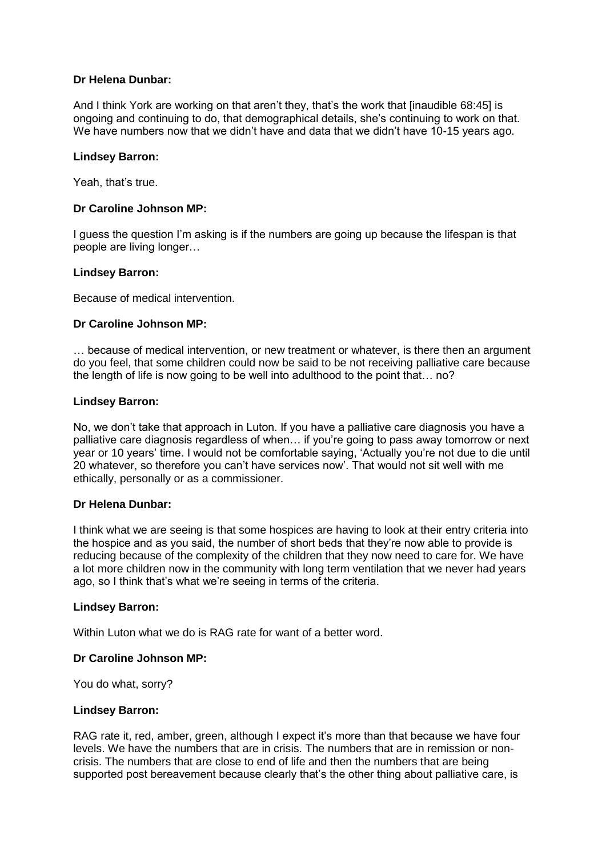## **Dr Helena Dunbar:**

And I think York are working on that aren't they, that's the work that [inaudible 68:45] is ongoing and continuing to do, that demographical details, she's continuing to work on that. We have numbers now that we didn't have and data that we didn't have 10-15 years ago.

### **Lindsey Barron:**

Yeah, that's true.

### **Dr Caroline Johnson MP:**

I guess the question I'm asking is if the numbers are going up because the lifespan is that people are living longer…

#### **Lindsey Barron:**

Because of medical intervention.

### **Dr Caroline Johnson MP:**

… because of medical intervention, or new treatment or whatever, is there then an argument do you feel, that some children could now be said to be not receiving palliative care because the length of life is now going to be well into adulthood to the point that… no?

### **Lindsey Barron:**

No, we don't take that approach in Luton. If you have a palliative care diagnosis you have a palliative care diagnosis regardless of when… if you're going to pass away tomorrow or next year or 10 years' time. I would not be comfortable saying, 'Actually you're not due to die until 20 whatever, so therefore you can't have services now'. That would not sit well with me ethically, personally or as a commissioner.

#### **Dr Helena Dunbar:**

I think what we are seeing is that some hospices are having to look at their entry criteria into the hospice and as you said, the number of short beds that they're now able to provide is reducing because of the complexity of the children that they now need to care for. We have a lot more children now in the community with long term ventilation that we never had years ago, so I think that's what we're seeing in terms of the criteria.

#### **Lindsey Barron:**

Within Luton what we do is RAG rate for want of a better word.

## **Dr Caroline Johnson MP:**

You do what, sorry?

#### **Lindsey Barron:**

RAG rate it, red, amber, green, although I expect it's more than that because we have four levels. We have the numbers that are in crisis. The numbers that are in remission or noncrisis. The numbers that are close to end of life and then the numbers that are being supported post bereavement because clearly that's the other thing about palliative care, is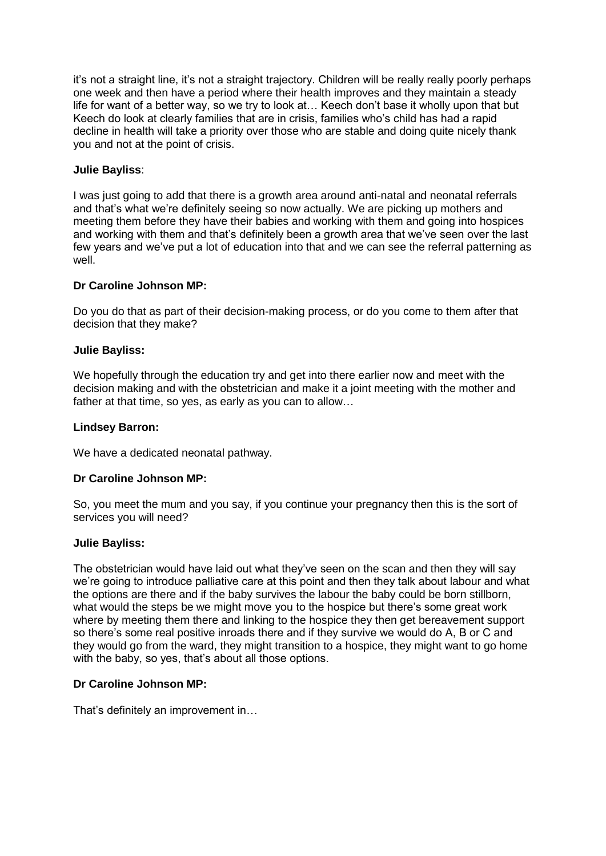it's not a straight line, it's not a straight trajectory. Children will be really really poorly perhaps one week and then have a period where their health improves and they maintain a steady life for want of a better way, so we try to look at… Keech don't base it wholly upon that but Keech do look at clearly families that are in crisis, families who's child has had a rapid decline in health will take a priority over those who are stable and doing quite nicely thank you and not at the point of crisis.

# **Julie Bayliss**:

I was just going to add that there is a growth area around anti-natal and neonatal referrals and that's what we're definitely seeing so now actually. We are picking up mothers and meeting them before they have their babies and working with them and going into hospices and working with them and that's definitely been a growth area that we've seen over the last few years and we've put a lot of education into that and we can see the referral patterning as well.

## **Dr Caroline Johnson MP:**

Do you do that as part of their decision-making process, or do you come to them after that decision that they make?

## **Julie Bayliss:**

We hopefully through the education try and get into there earlier now and meet with the decision making and with the obstetrician and make it a joint meeting with the mother and father at that time, so yes, as early as you can to allow…

## **Lindsey Barron:**

We have a dedicated neonatal pathway.

## **Dr Caroline Johnson MP:**

So, you meet the mum and you say, if you continue your pregnancy then this is the sort of services you will need?

## **Julie Bayliss:**

The obstetrician would have laid out what they've seen on the scan and then they will say we're going to introduce palliative care at this point and then they talk about labour and what the options are there and if the baby survives the labour the baby could be born stillborn, what would the steps be we might move you to the hospice but there's some great work where by meeting them there and linking to the hospice they then get bereavement support so there's some real positive inroads there and if they survive we would do A, B or C and they would go from the ward, they might transition to a hospice, they might want to go home with the baby, so yes, that's about all those options.

## **Dr Caroline Johnson MP:**

That's definitely an improvement in…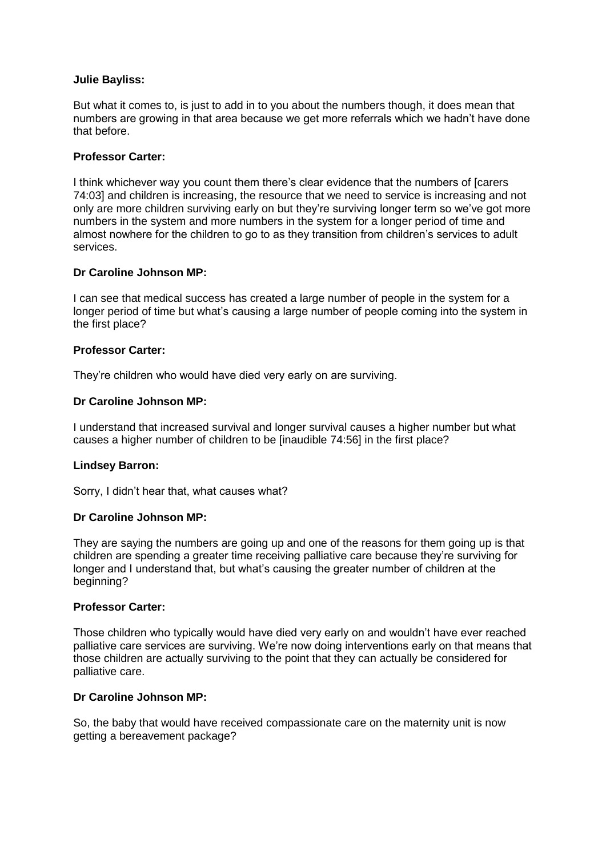### **Julie Bayliss:**

But what it comes to, is just to add in to you about the numbers though, it does mean that numbers are growing in that area because we get more referrals which we hadn't have done that before.

### **Professor Carter:**

I think whichever way you count them there's clear evidence that the numbers of [carers 74:03] and children is increasing, the resource that we need to service is increasing and not only are more children surviving early on but they're surviving longer term so we've got more numbers in the system and more numbers in the system for a longer period of time and almost nowhere for the children to go to as they transition from children's services to adult services.

### **Dr Caroline Johnson MP:**

I can see that medical success has created a large number of people in the system for a longer period of time but what's causing a large number of people coming into the system in the first place?

### **Professor Carter:**

They're children who would have died very early on are surviving.

### **Dr Caroline Johnson MP:**

I understand that increased survival and longer survival causes a higher number but what causes a higher number of children to be [inaudible 74:56] in the first place?

#### **Lindsey Barron:**

Sorry, I didn't hear that, what causes what?

### **Dr Caroline Johnson MP:**

They are saying the numbers are going up and one of the reasons for them going up is that children are spending a greater time receiving palliative care because they're surviving for longer and I understand that, but what's causing the greater number of children at the beginning?

#### **Professor Carter:**

Those children who typically would have died very early on and wouldn't have ever reached palliative care services are surviving. We're now doing interventions early on that means that those children are actually surviving to the point that they can actually be considered for palliative care.

### **Dr Caroline Johnson MP:**

So, the baby that would have received compassionate care on the maternity unit is now getting a bereavement package?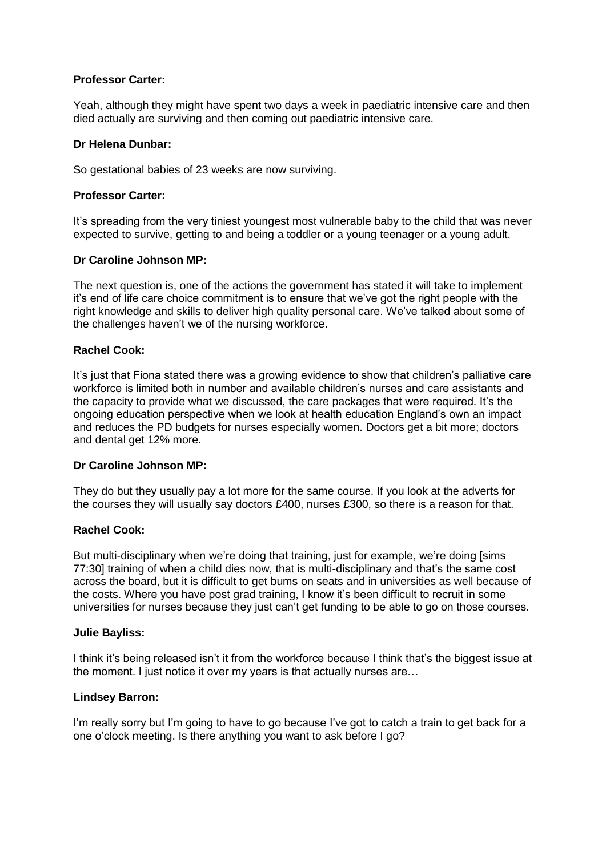## **Professor Carter:**

Yeah, although they might have spent two days a week in paediatric intensive care and then died actually are surviving and then coming out paediatric intensive care.

### **Dr Helena Dunbar:**

So gestational babies of 23 weeks are now surviving.

### **Professor Carter:**

It's spreading from the very tiniest youngest most vulnerable baby to the child that was never expected to survive, getting to and being a toddler or a young teenager or a young adult.

### **Dr Caroline Johnson MP:**

The next question is, one of the actions the government has stated it will take to implement it's end of life care choice commitment is to ensure that we've got the right people with the right knowledge and skills to deliver high quality personal care. We've talked about some of the challenges haven't we of the nursing workforce.

### **Rachel Cook:**

It's just that Fiona stated there was a growing evidence to show that children's palliative care workforce is limited both in number and available children's nurses and care assistants and the capacity to provide what we discussed, the care packages that were required. It's the ongoing education perspective when we look at health education England's own an impact and reduces the PD budgets for nurses especially women. Doctors get a bit more; doctors and dental get 12% more.

#### **Dr Caroline Johnson MP:**

They do but they usually pay a lot more for the same course. If you look at the adverts for the courses they will usually say doctors £400, nurses £300, so there is a reason for that.

## **Rachel Cook:**

But multi-disciplinary when we're doing that training, just for example, we're doing [sims 77:30] training of when a child dies now, that is multi-disciplinary and that's the same cost across the board, but it is difficult to get bums on seats and in universities as well because of the costs. Where you have post grad training, I know it's been difficult to recruit in some universities for nurses because they just can't get funding to be able to go on those courses.

#### **Julie Bayliss:**

I think it's being released isn't it from the workforce because I think that's the biggest issue at the moment. I just notice it over my years is that actually nurses are…

#### **Lindsey Barron:**

I'm really sorry but I'm going to have to go because I've got to catch a train to get back for a one o'clock meeting. Is there anything you want to ask before I go?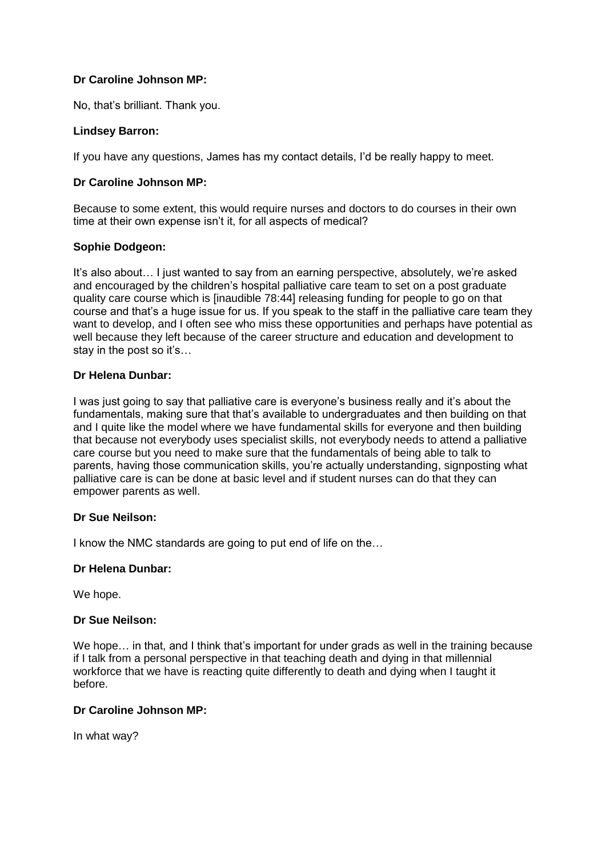No, that's brilliant. Thank you.

## **Lindsey Barron:**

If you have any questions, James has my contact details, I'd be really happy to meet.

## **Dr Caroline Johnson MP:**

Because to some extent, this would require nurses and doctors to do courses in their own time at their own expense isn't it, for all aspects of medical?

### **Sophie Dodgeon:**

It's also about… I just wanted to say from an earning perspective, absolutely, we're asked and encouraged by the children's hospital palliative care team to set on a post graduate quality care course which is [inaudible 78:44] releasing funding for people to go on that course and that's a huge issue for us. If you speak to the staff in the palliative care team they want to develop, and I often see who miss these opportunities and perhaps have potential as well because they left because of the career structure and education and development to stay in the post so it's…

## **Dr Helena Dunbar:**

I was just going to say that palliative care is everyone's business really and it's about the fundamentals, making sure that that's available to undergraduates and then building on that and I quite like the model where we have fundamental skills for everyone and then building that because not everybody uses specialist skills, not everybody needs to attend a palliative care course but you need to make sure that the fundamentals of being able to talk to parents, having those communication skills, you're actually understanding, signposting what palliative care is can be done at basic level and if student nurses can do that they can empower parents as well.

## **Dr Sue Neilson:**

I know the NMC standards are going to put end of life on the…

## **Dr Helena Dunbar:**

We hope.

#### **Dr Sue Neilson:**

We hope... in that, and I think that's important for under grads as well in the training because if I talk from a personal perspective in that teaching death and dying in that millennial workforce that we have is reacting quite differently to death and dying when I taught it before.

## **Dr Caroline Johnson MP:**

In what way?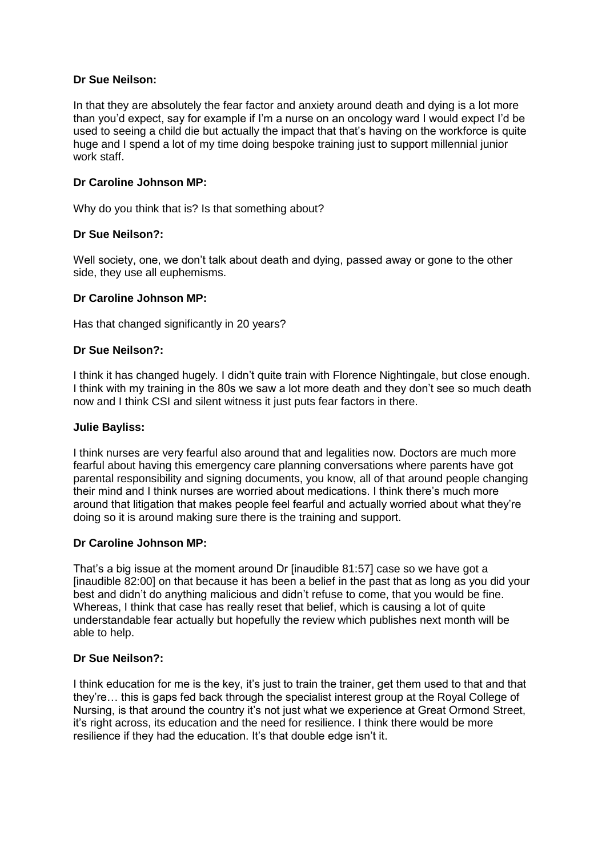## **Dr Sue Neilson:**

In that they are absolutely the fear factor and anxiety around death and dying is a lot more than you'd expect, say for example if I'm a nurse on an oncology ward I would expect I'd be used to seeing a child die but actually the impact that that's having on the workforce is quite huge and I spend a lot of my time doing bespoke training just to support millennial junior work staff.

### **Dr Caroline Johnson MP:**

Why do you think that is? Is that something about?

### **Dr Sue Neilson?:**

Well society, one, we don't talk about death and dying, passed away or gone to the other side, they use all euphemisms.

### **Dr Caroline Johnson MP:**

Has that changed significantly in 20 years?

### **Dr Sue Neilson?:**

I think it has changed hugely. I didn't quite train with Florence Nightingale, but close enough. I think with my training in the 80s we saw a lot more death and they don't see so much death now and I think CSI and silent witness it just puts fear factors in there.

#### **Julie Bayliss:**

I think nurses are very fearful also around that and legalities now. Doctors are much more fearful about having this emergency care planning conversations where parents have got parental responsibility and signing documents, you know, all of that around people changing their mind and I think nurses are worried about medications. I think there's much more around that litigation that makes people feel fearful and actually worried about what they're doing so it is around making sure there is the training and support.

#### **Dr Caroline Johnson MP:**

That's a big issue at the moment around Dr [inaudible 81:57] case so we have got a [inaudible 82:00] on that because it has been a belief in the past that as long as you did your best and didn't do anything malicious and didn't refuse to come, that you would be fine. Whereas, I think that case has really reset that belief, which is causing a lot of quite understandable fear actually but hopefully the review which publishes next month will be able to help.

## **Dr Sue Neilson?:**

I think education for me is the key, it's just to train the trainer, get them used to that and that they're… this is gaps fed back through the specialist interest group at the Royal College of Nursing, is that around the country it's not just what we experience at Great Ormond Street, it's right across, its education and the need for resilience. I think there would be more resilience if they had the education. It's that double edge isn't it.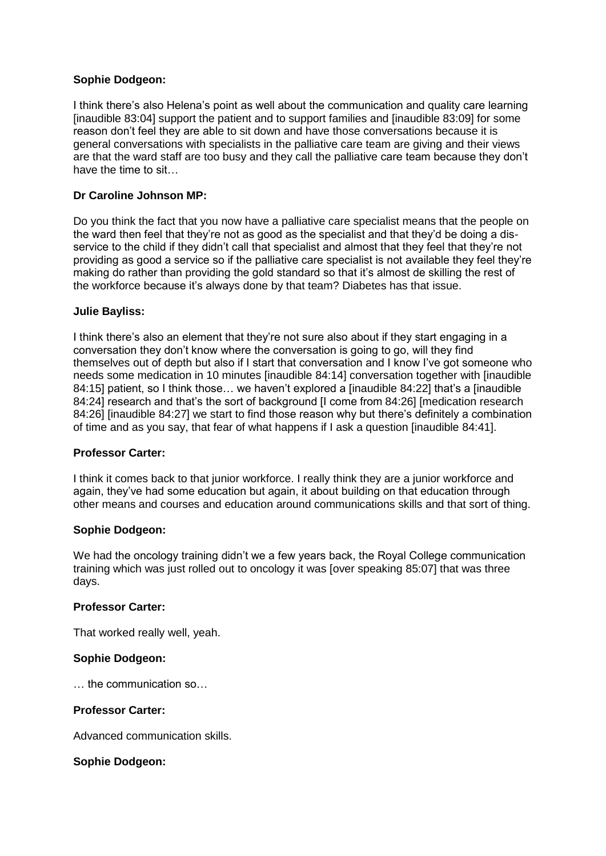## **Sophie Dodgeon:**

I think there's also Helena's point as well about the communication and quality care learning [inaudible 83:04] support the patient and to support families and [inaudible 83:09] for some reason don't feel they are able to sit down and have those conversations because it is general conversations with specialists in the palliative care team are giving and their views are that the ward staff are too busy and they call the palliative care team because they don't have the time to sit…

## **Dr Caroline Johnson MP:**

Do you think the fact that you now have a palliative care specialist means that the people on the ward then feel that they're not as good as the specialist and that they'd be doing a disservice to the child if they didn't call that specialist and almost that they feel that they're not providing as good a service so if the palliative care specialist is not available they feel they're making do rather than providing the gold standard so that it's almost de skilling the rest of the workforce because it's always done by that team? Diabetes has that issue.

#### **Julie Bayliss:**

I think there's also an element that they're not sure also about if they start engaging in a conversation they don't know where the conversation is going to go, will they find themselves out of depth but also if I start that conversation and I know I've got someone who needs some medication in 10 minutes [inaudible 84:14] conversation together with [inaudible 84:15] patient, so I think those... we haven't explored a [inaudible 84:22] that's a [inaudible 84:24] research and that's the sort of background [I come from 84:26] [medication research 84:26] [inaudible 84:27] we start to find those reason why but there's definitely a combination of time and as you say, that fear of what happens if I ask a question [inaudible 84:41].

## **Professor Carter:**

I think it comes back to that junior workforce. I really think they are a junior workforce and again, they've had some education but again, it about building on that education through other means and courses and education around communications skills and that sort of thing.

#### **Sophie Dodgeon:**

We had the oncology training didn't we a few years back, the Royal College communication training which was just rolled out to oncology it was [over speaking 85:07] that was three days.

#### **Professor Carter:**

That worked really well, yeah.

#### **Sophie Dodgeon:**

… the communication so…

#### **Professor Carter:**

Advanced communication skills.

#### **Sophie Dodgeon:**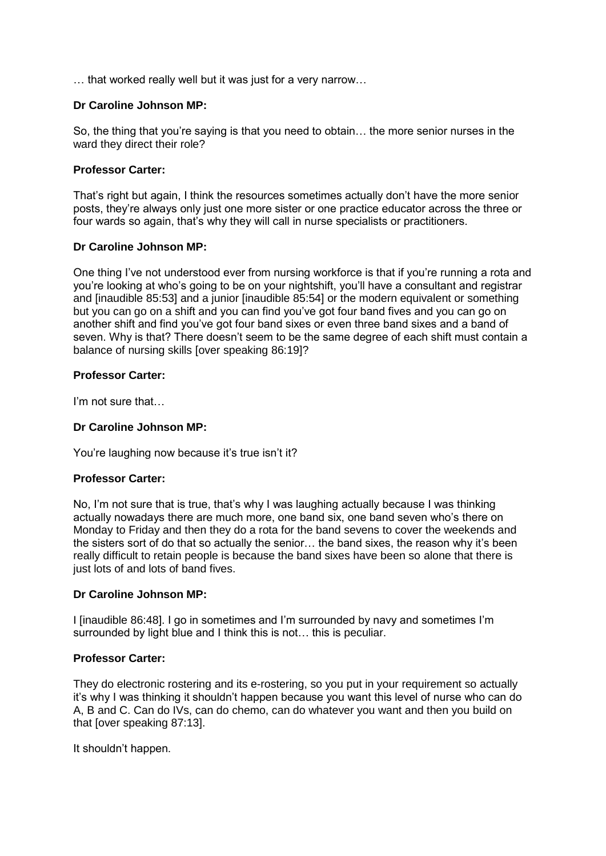… that worked really well but it was just for a very narrow…

# **Dr Caroline Johnson MP:**

So, the thing that you're saying is that you need to obtain… the more senior nurses in the ward they direct their role?

## **Professor Carter:**

That's right but again, I think the resources sometimes actually don't have the more senior posts, they're always only just one more sister or one practice educator across the three or four wards so again, that's why they will call in nurse specialists or practitioners.

## **Dr Caroline Johnson MP:**

One thing I've not understood ever from nursing workforce is that if you're running a rota and you're looking at who's going to be on your nightshift, you'll have a consultant and registrar and [inaudible 85:53] and a junior [inaudible 85:54] or the modern equivalent or something but you can go on a shift and you can find you've got four band fives and you can go on another shift and find you've got four band sixes or even three band sixes and a band of seven. Why is that? There doesn't seem to be the same degree of each shift must contain a balance of nursing skills [over speaking 86:19]?

# **Professor Carter:**

I'm not sure that…

# **Dr Caroline Johnson MP:**

You're laughing now because it's true isn't it?

## **Professor Carter:**

No, I'm not sure that is true, that's why I was laughing actually because I was thinking actually nowadays there are much more, one band six, one band seven who's there on Monday to Friday and then they do a rota for the band sevens to cover the weekends and the sisters sort of do that so actually the senior… the band sixes, the reason why it's been really difficult to retain people is because the band sixes have been so alone that there is just lots of and lots of band fives.

## **Dr Caroline Johnson MP:**

I linaudible 86:48]. I go in sometimes and I'm surrounded by navy and sometimes I'm surrounded by light blue and I think this is not… this is peculiar.

## **Professor Carter:**

They do electronic rostering and its e-rostering, so you put in your requirement so actually it's why I was thinking it shouldn't happen because you want this level of nurse who can do A, B and C. Can do IVs, can do chemo, can do whatever you want and then you build on that [over speaking 87:13].

It shouldn't happen.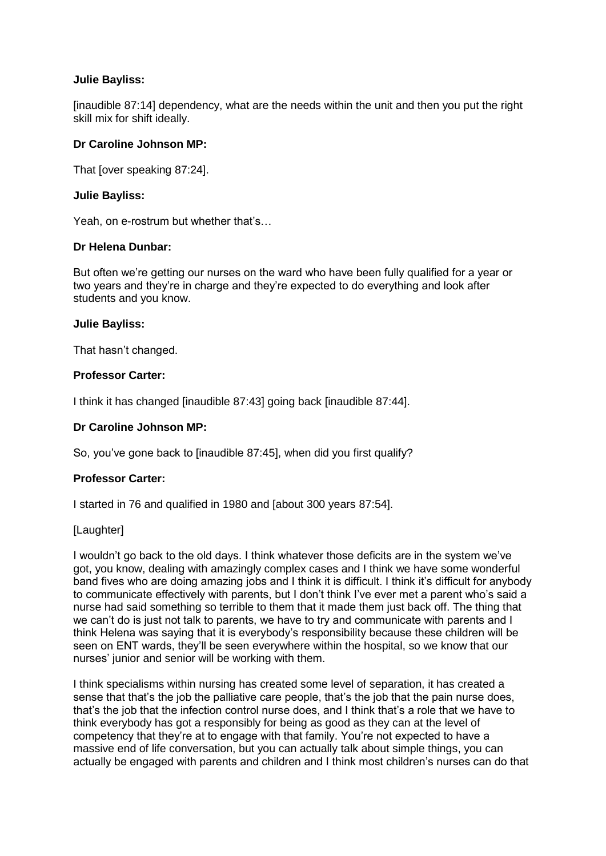## **Julie Bayliss:**

[inaudible 87:14] dependency, what are the needs within the unit and then you put the right skill mix for shift ideally.

### **Dr Caroline Johnson MP:**

That [over speaking 87:24].

### **Julie Bayliss:**

Yeah, on e-rostrum but whether that's…

### **Dr Helena Dunbar:**

But often we're getting our nurses on the ward who have been fully qualified for a year or two years and they're in charge and they're expected to do everything and look after students and you know.

#### **Julie Bayliss:**

That hasn't changed.

## **Professor Carter:**

I think it has changed [inaudible 87:43] going back [inaudible 87:44].

## **Dr Caroline Johnson MP:**

So, you've gone back to [inaudible 87:45], when did you first qualify?

## **Professor Carter:**

I started in 76 and qualified in 1980 and [about 300 years 87:54].

## [Laughter]

I wouldn't go back to the old days. I think whatever those deficits are in the system we've got, you know, dealing with amazingly complex cases and I think we have some wonderful band fives who are doing amazing jobs and I think it is difficult. I think it's difficult for anybody to communicate effectively with parents, but I don't think I've ever met a parent who's said a nurse had said something so terrible to them that it made them just back off. The thing that we can't do is just not talk to parents, we have to try and communicate with parents and I think Helena was saying that it is everybody's responsibility because these children will be seen on ENT wards, they'll be seen everywhere within the hospital, so we know that our nurses' junior and senior will be working with them.

I think specialisms within nursing has created some level of separation, it has created a sense that that's the job the palliative care people, that's the job that the pain nurse does, that's the job that the infection control nurse does, and I think that's a role that we have to think everybody has got a responsibly for being as good as they can at the level of competency that they're at to engage with that family. You're not expected to have a massive end of life conversation, but you can actually talk about simple things, you can actually be engaged with parents and children and I think most children's nurses can do that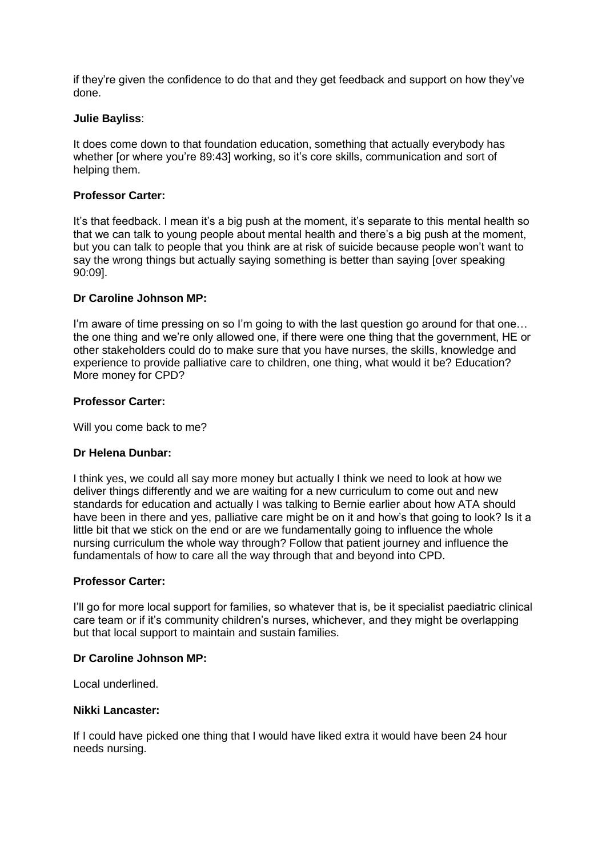if they're given the confidence to do that and they get feedback and support on how they've done.

### **Julie Bayliss**:

It does come down to that foundation education, something that actually everybody has whether [or where you're 89:43] working, so it's core skills, communication and sort of helping them.

## **Professor Carter:**

It's that feedback. I mean it's a big push at the moment, it's separate to this mental health so that we can talk to young people about mental health and there's a big push at the moment, but you can talk to people that you think are at risk of suicide because people won't want to say the wrong things but actually saying something is better than saying [over speaking 90:09].

### **Dr Caroline Johnson MP:**

I'm aware of time pressing on so I'm going to with the last question go around for that one... the one thing and we're only allowed one, if there were one thing that the government, HE or other stakeholders could do to make sure that you have nurses, the skills, knowledge and experience to provide palliative care to children, one thing, what would it be? Education? More money for CPD?

### **Professor Carter:**

Will you come back to me?

## **Dr Helena Dunbar:**

I think yes, we could all say more money but actually I think we need to look at how we deliver things differently and we are waiting for a new curriculum to come out and new standards for education and actually I was talking to Bernie earlier about how ATA should have been in there and yes, palliative care might be on it and how's that going to look? Is it a little bit that we stick on the end or are we fundamentally going to influence the whole nursing curriculum the whole way through? Follow that patient journey and influence the fundamentals of how to care all the way through that and beyond into CPD.

#### **Professor Carter:**

I'll go for more local support for families, so whatever that is, be it specialist paediatric clinical care team or if it's community children's nurses, whichever, and they might be overlapping but that local support to maintain and sustain families.

#### **Dr Caroline Johnson MP:**

Local underlined.

#### **Nikki Lancaster:**

If I could have picked one thing that I would have liked extra it would have been 24 hour needs nursing.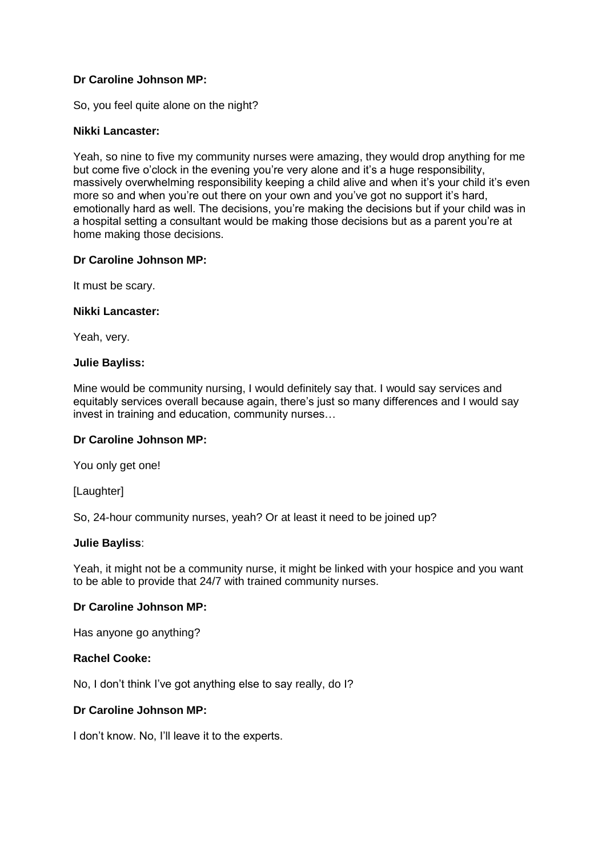So, you feel quite alone on the night?

### **Nikki Lancaster:**

Yeah, so nine to five my community nurses were amazing, they would drop anything for me but come five o'clock in the evening you're very alone and it's a huge responsibility, massively overwhelming responsibility keeping a child alive and when it's your child it's even more so and when you're out there on your own and you've got no support it's hard, emotionally hard as well. The decisions, you're making the decisions but if your child was in a hospital setting a consultant would be making those decisions but as a parent you're at home making those decisions.

### **Dr Caroline Johnson MP:**

It must be scary.

### **Nikki Lancaster:**

Yeah, very.

### **Julie Bayliss:**

Mine would be community nursing, I would definitely say that. I would say services and equitably services overall because again, there's just so many differences and I would say invest in training and education, community nurses…

## **Dr Caroline Johnson MP:**

You only get one!

[Laughter]

So, 24-hour community nurses, yeah? Or at least it need to be joined up?

#### **Julie Bayliss**:

Yeah, it might not be a community nurse, it might be linked with your hospice and you want to be able to provide that 24/7 with trained community nurses.

## **Dr Caroline Johnson MP:**

Has anyone go anything?

## **Rachel Cooke:**

No, I don't think I've got anything else to say really, do I?

# **Dr Caroline Johnson MP:**

I don't know. No, I'll leave it to the experts.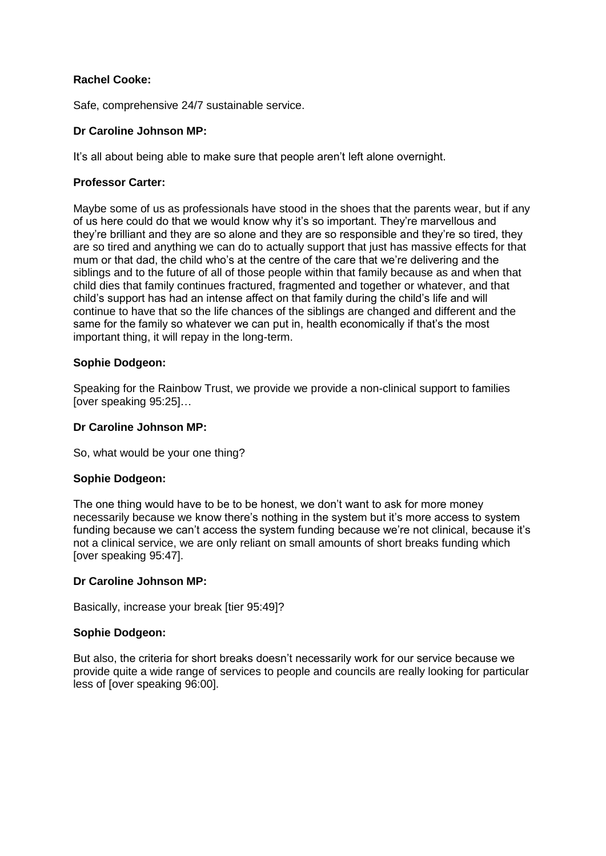## **Rachel Cooke:**

Safe, comprehensive 24/7 sustainable service.

# **Dr Caroline Johnson MP:**

It's all about being able to make sure that people aren't left alone overnight.

## **Professor Carter:**

Maybe some of us as professionals have stood in the shoes that the parents wear, but if any of us here could do that we would know why it's so important. They're marvellous and they're brilliant and they are so alone and they are so responsible and they're so tired, they are so tired and anything we can do to actually support that just has massive effects for that mum or that dad, the child who's at the centre of the care that we're delivering and the siblings and to the future of all of those people within that family because as and when that child dies that family continues fractured, fragmented and together or whatever, and that child's support has had an intense affect on that family during the child's life and will continue to have that so the life chances of the siblings are changed and different and the same for the family so whatever we can put in, health economically if that's the most important thing, it will repay in the long-term.

## **Sophie Dodgeon:**

Speaking for the Rainbow Trust, we provide we provide a non-clinical support to families [over speaking 95:25]…

## **Dr Caroline Johnson MP:**

So, what would be your one thing?

## **Sophie Dodgeon:**

The one thing would have to be to be honest, we don't want to ask for more money necessarily because we know there's nothing in the system but it's more access to system funding because we can't access the system funding because we're not clinical, because it's not a clinical service, we are only reliant on small amounts of short breaks funding which [over speaking 95:47].

#### **Dr Caroline Johnson MP:**

Basically, increase your break [tier 95:49]?

## **Sophie Dodgeon:**

But also, the criteria for short breaks doesn't necessarily work for our service because we provide quite a wide range of services to people and councils are really looking for particular less of [over speaking 96:00].